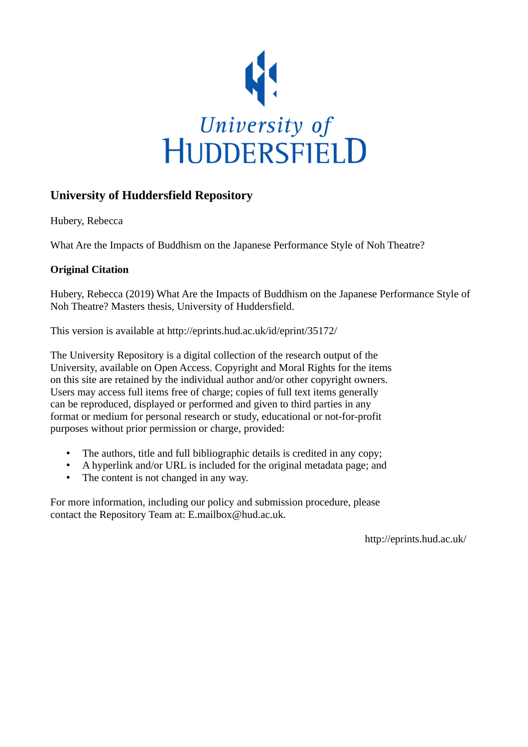

## **University of Huddersfield Repository**

Hubery, Rebecca

What Are the Impacts of Buddhism on the Japanese Performance Style of Noh Theatre?

#### **Original Citation**

Hubery, Rebecca (2019) What Are the Impacts of Buddhism on the Japanese Performance Style of Noh Theatre? Masters thesis, University of Huddersfield.

This version is available at http://eprints.hud.ac.uk/id/eprint/35172/

The University Repository is a digital collection of the research output of the University, available on Open Access. Copyright and Moral Rights for the items on this site are retained by the individual author and/or other copyright owners. Users may access full items free of charge; copies of full text items generally can be reproduced, displayed or performed and given to third parties in any format or medium for personal research or study, educational or not-for-profit purposes without prior permission or charge, provided:

- The authors, title and full bibliographic details is credited in any copy;
- A hyperlink and/or URL is included for the original metadata page; and
- The content is not changed in any way.

For more information, including our policy and submission procedure, please contact the Repository Team at: E.mailbox@hud.ac.uk.

http://eprints.hud.ac.uk/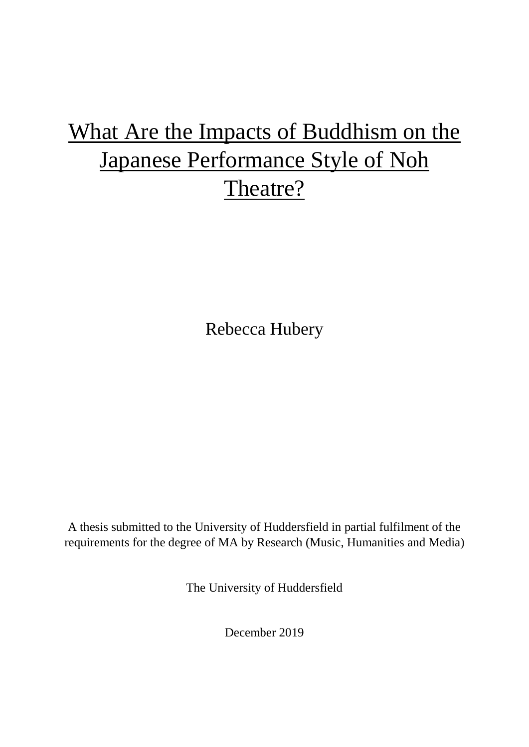# What Are the Impacts of Buddhism on the Japanese Performance Style of Noh Theatre?

Rebecca Hubery

A thesis submitted to the University of Huddersfield in partial fulfilment of the requirements for the degree of MA by Research (Music, Humanities and Media)

The University of Huddersfield

December 2019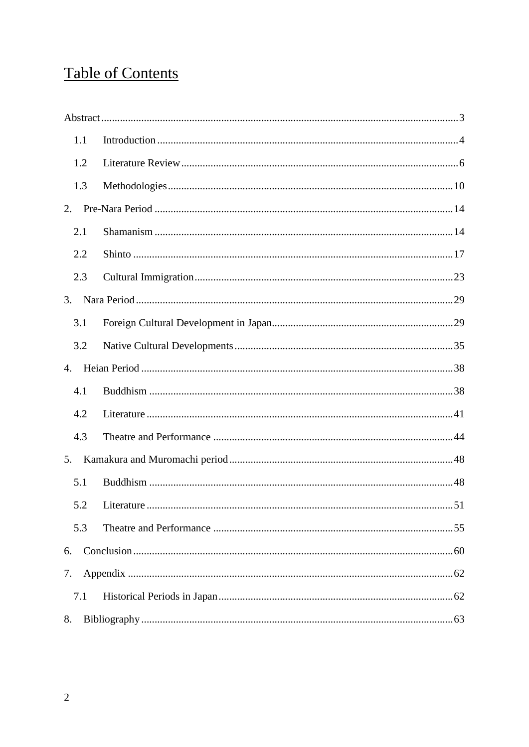## **Table of Contents**

| 1.1              |                |    |
|------------------|----------------|----|
| 1.2              |                |    |
| 1.3              |                |    |
| 2.               |                |    |
| 2.1              |                |    |
| 2.2              |                |    |
| 2.3              |                |    |
| 3.               |                |    |
| 3.1              |                |    |
| 3.2              |                |    |
| $\overline{4}$ . |                |    |
| 4.1              |                |    |
| 4.2              |                |    |
| 4.3              |                |    |
| 5.               |                |    |
| 5.1              |                |    |
|                  | 5.2 Literature | 51 |
| 5.3              |                |    |
| 6.               |                |    |
| 7.               |                |    |
| 7.1              |                |    |
| 8.               |                |    |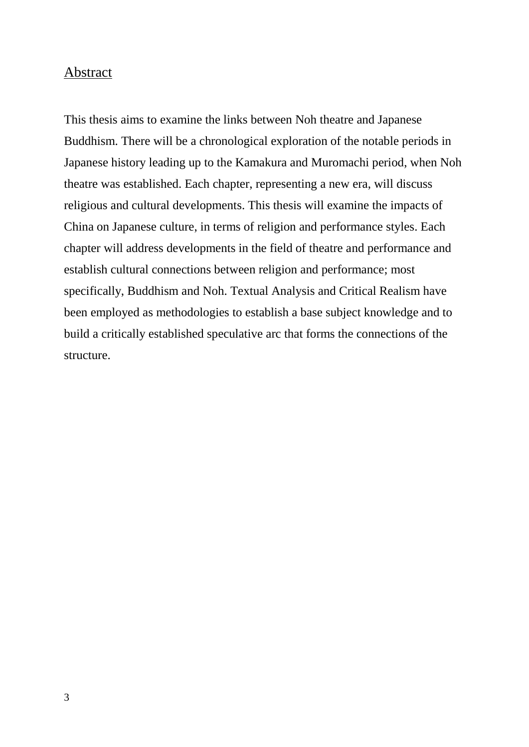## <span id="page-3-0"></span>Abstract

This thesis aims to examine the links between Noh theatre and Japanese Buddhism. There will be a chronological exploration of the notable periods in Japanese history leading up to the Kamakura and Muromachi period, when Noh theatre was established. Each chapter, representing a new era, will discuss religious and cultural developments. This thesis will examine the impacts of China on Japanese culture, in terms of religion and performance styles. Each chapter will address developments in the field of theatre and performance and establish cultural connections between religion and performance; most specifically, Buddhism and Noh. Textual Analysis and Critical Realism have been employed as methodologies to establish a base subject knowledge and to build a critically established speculative arc that forms the connections of the structure.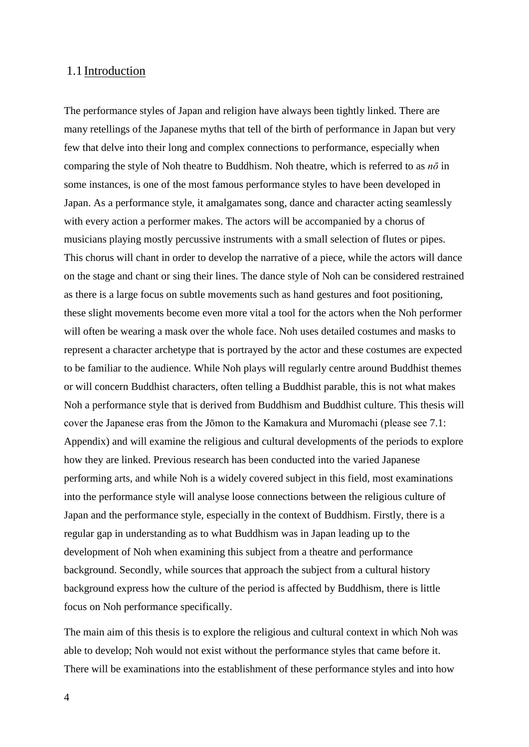#### <span id="page-4-0"></span>1.1 Introduction

The performance styles of Japan and religion have always been tightly linked. There are many retellings of the Japanese myths that tell of the birth of performance in Japan but very few that delve into their long and complex connections to performance, especially when comparing the style of Noh theatre to Buddhism. Noh theatre, which is referred to as *nō* in some instances, is one of the most famous performance styles to have been developed in Japan. As a performance style, it amalgamates song, dance and character acting seamlessly with every action a performer makes. The actors will be accompanied by a chorus of musicians playing mostly percussive instruments with a small selection of flutes or pipes. This chorus will chant in order to develop the narrative of a piece, while the actors will dance on the stage and chant or sing their lines. The dance style of Noh can be considered restrained as there is a large focus on subtle movements such as hand gestures and foot positioning, these slight movements become even more vital a tool for the actors when the Noh performer will often be wearing a mask over the whole face. Noh uses detailed costumes and masks to represent a character archetype that is portrayed by the actor and these costumes are expected to be familiar to the audience. While Noh plays will regularly centre around Buddhist themes or will concern Buddhist characters, often telling a Buddhist parable, this is not what makes Noh a performance style that is derived from Buddhism and Buddhist culture. This thesis will cover the Japanese eras from the Jōmon to the Kamakura and Muromachi (please see 7.1: Appendix) and will examine the religious and cultural developments of the periods to explore how they are linked. Previous research has been conducted into the varied Japanese performing arts, and while Noh is a widely covered subject in this field, most examinations into the performance style will analyse loose connections between the religious culture of Japan and the performance style, especially in the context of Buddhism. Firstly, there is a regular gap in understanding as to what Buddhism was in Japan leading up to the development of Noh when examining this subject from a theatre and performance background. Secondly, while sources that approach the subject from a cultural history background express how the culture of the period is affected by Buddhism, there is little focus on Noh performance specifically.

The main aim of this thesis is to explore the religious and cultural context in which Noh was able to develop; Noh would not exist without the performance styles that came before it. There will be examinations into the establishment of these performance styles and into how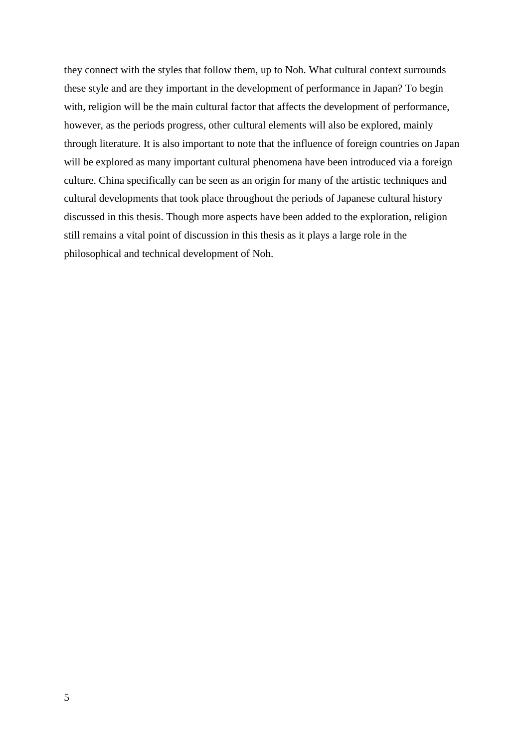they connect with the styles that follow them, up to Noh. What cultural context surrounds these style and are they important in the development of performance in Japan? To begin with, religion will be the main cultural factor that affects the development of performance, however, as the periods progress, other cultural elements will also be explored, mainly through literature. It is also important to note that the influence of foreign countries on Japan will be explored as many important cultural phenomena have been introduced via a foreign culture. China specifically can be seen as an origin for many of the artistic techniques and cultural developments that took place throughout the periods of Japanese cultural history discussed in this thesis. Though more aspects have been added to the exploration, religion still remains a vital point of discussion in this thesis as it plays a large role in the philosophical and technical development of Noh.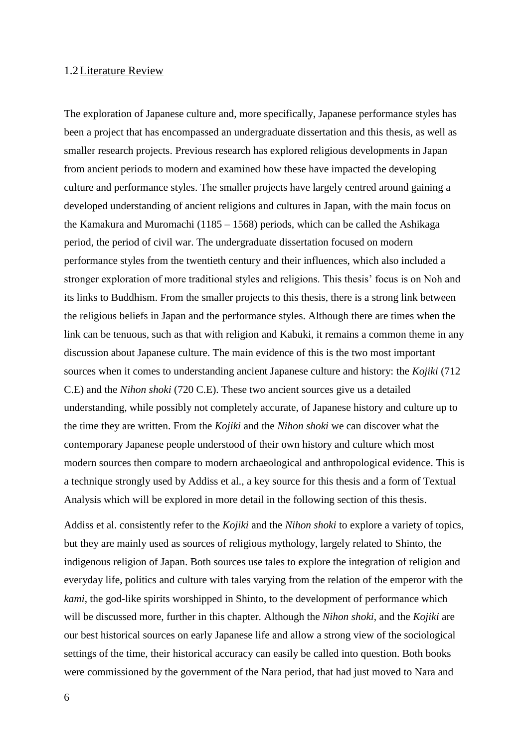#### <span id="page-6-0"></span>1.2Literature Review

The exploration of Japanese culture and, more specifically, Japanese performance styles has been a project that has encompassed an undergraduate dissertation and this thesis, as well as smaller research projects. Previous research has explored religious developments in Japan from ancient periods to modern and examined how these have impacted the developing culture and performance styles. The smaller projects have largely centred around gaining a developed understanding of ancient religions and cultures in Japan, with the main focus on the Kamakura and Muromachi (1185 – 1568) periods, which can be called the Ashikaga period, the period of civil war. The undergraduate dissertation focused on modern performance styles from the twentieth century and their influences, which also included a stronger exploration of more traditional styles and religions. This thesis' focus is on Noh and its links to Buddhism. From the smaller projects to this thesis, there is a strong link between the religious beliefs in Japan and the performance styles. Although there are times when the link can be tenuous, such as that with religion and Kabuki, it remains a common theme in any discussion about Japanese culture. The main evidence of this is the two most important sources when it comes to understanding ancient Japanese culture and history: the *Kojiki* (712 C.E) and the *Nihon shoki* (720 C.E). These two ancient sources give us a detailed understanding, while possibly not completely accurate, of Japanese history and culture up to the time they are written. From the *Kojiki* and the *Nihon shoki* we can discover what the contemporary Japanese people understood of their own history and culture which most modern sources then compare to modern archaeological and anthropological evidence. This is a technique strongly used by Addiss et al., a key source for this thesis and a form of Textual Analysis which will be explored in more detail in the following section of this thesis.

Addiss et al. consistently refer to the *Kojiki* and the *Nihon shoki* to explore a variety of topics, but they are mainly used as sources of religious mythology, largely related to Shinto, the indigenous religion of Japan. Both sources use tales to explore the integration of religion and everyday life, politics and culture with tales varying from the relation of the emperor with the *kami*, the god-like spirits worshipped in Shinto, to the development of performance which will be discussed more, further in this chapter. Although the *Nihon shoki*, and the *Kojiki* are our best historical sources on early Japanese life and allow a strong view of the sociological settings of the time, their historical accuracy can easily be called into question. Both books were commissioned by the government of the Nara period, that had just moved to Nara and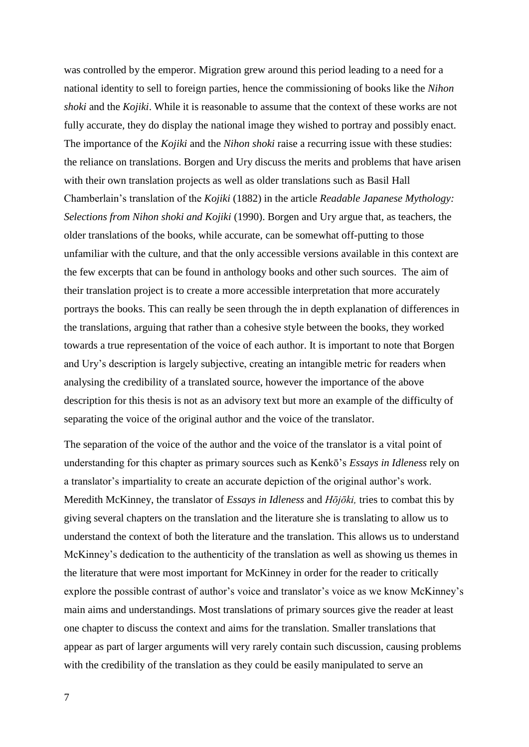was controlled by the emperor. Migration grew around this period leading to a need for a national identity to sell to foreign parties, hence the commissioning of books like the *Nihon shoki* and the *Kojiki*. While it is reasonable to assume that the context of these works are not fully accurate, they do display the national image they wished to portray and possibly enact. The importance of the *Kojiki* and the *Nihon shoki* raise a recurring issue with these studies: the reliance on translations. Borgen and Ury discuss the merits and problems that have arisen with their own translation projects as well as older translations such as Basil Hall Chamberlain's translation of the *Kojiki* (1882) in the article *Readable Japanese Mythology: Selections from Nihon shoki and Kojiki* (1990). Borgen and Ury argue that, as teachers, the older translations of the books, while accurate, can be somewhat off-putting to those unfamiliar with the culture, and that the only accessible versions available in this context are the few excerpts that can be found in anthology books and other such sources. The aim of their translation project is to create a more accessible interpretation that more accurately portrays the books. This can really be seen through the in depth explanation of differences in the translations, arguing that rather than a cohesive style between the books, they worked towards a true representation of the voice of each author. It is important to note that Borgen and Ury's description is largely subjective, creating an intangible metric for readers when analysing the credibility of a translated source, however the importance of the above description for this thesis is not as an advisory text but more an example of the difficulty of separating the voice of the original author and the voice of the translator.

The separation of the voice of the author and the voice of the translator is a vital point of understanding for this chapter as primary sources such as Kenkō's *Essays in Idleness* rely on a translator's impartiality to create an accurate depiction of the original author's work. Meredith McKinney, the translator of *Essays in Idleness* and *Hōjōki,* tries to combat this by giving several chapters on the translation and the literature she is translating to allow us to understand the context of both the literature and the translation. This allows us to understand McKinney's dedication to the authenticity of the translation as well as showing us themes in the literature that were most important for McKinney in order for the reader to critically explore the possible contrast of author's voice and translator's voice as we know McKinney's main aims and understandings. Most translations of primary sources give the reader at least one chapter to discuss the context and aims for the translation. Smaller translations that appear as part of larger arguments will very rarely contain such discussion, causing problems with the credibility of the translation as they could be easily manipulated to serve an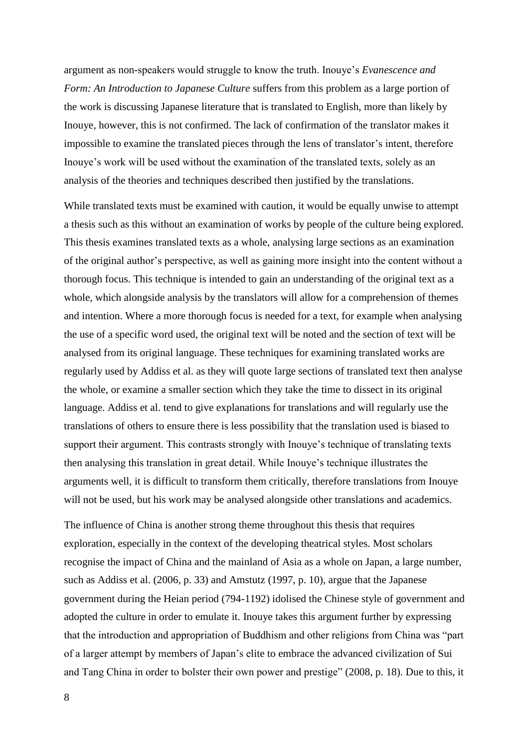argument as non-speakers would struggle to know the truth. Inouye's *Evanescence and Form: An Introduction to Japanese Culture* suffers from this problem as a large portion of the work is discussing Japanese literature that is translated to English, more than likely by Inouye, however, this is not confirmed. The lack of confirmation of the translator makes it impossible to examine the translated pieces through the lens of translator's intent, therefore Inouye's work will be used without the examination of the translated texts, solely as an analysis of the theories and techniques described then justified by the translations.

While translated texts must be examined with caution, it would be equally unwise to attempt a thesis such as this without an examination of works by people of the culture being explored. This thesis examines translated texts as a whole, analysing large sections as an examination of the original author's perspective, as well as gaining more insight into the content without a thorough focus. This technique is intended to gain an understanding of the original text as a whole, which alongside analysis by the translators will allow for a comprehension of themes and intention. Where a more thorough focus is needed for a text, for example when analysing the use of a specific word used, the original text will be noted and the section of text will be analysed from its original language. These techniques for examining translated works are regularly used by Addiss et al. as they will quote large sections of translated text then analyse the whole, or examine a smaller section which they take the time to dissect in its original language. Addiss et al. tend to give explanations for translations and will regularly use the translations of others to ensure there is less possibility that the translation used is biased to support their argument. This contrasts strongly with Inouye's technique of translating texts then analysing this translation in great detail. While Inouye's technique illustrates the arguments well, it is difficult to transform them critically, therefore translations from Inouye will not be used, but his work may be analysed alongside other translations and academics.

The influence of China is another strong theme throughout this thesis that requires exploration, especially in the context of the developing theatrical styles. Most scholars recognise the impact of China and the mainland of Asia as a whole on Japan, a large number, such as Addiss et al. (2006, p. 33) and Amstutz (1997, p. 10), argue that the Japanese government during the Heian period (794-1192) idolised the Chinese style of government and adopted the culture in order to emulate it. Inouye takes this argument further by expressing that the introduction and appropriation of Buddhism and other religions from China was "part of a larger attempt by members of Japan's elite to embrace the advanced civilization of Sui and Tang China in order to bolster their own power and prestige" (2008, p. 18). Due to this, it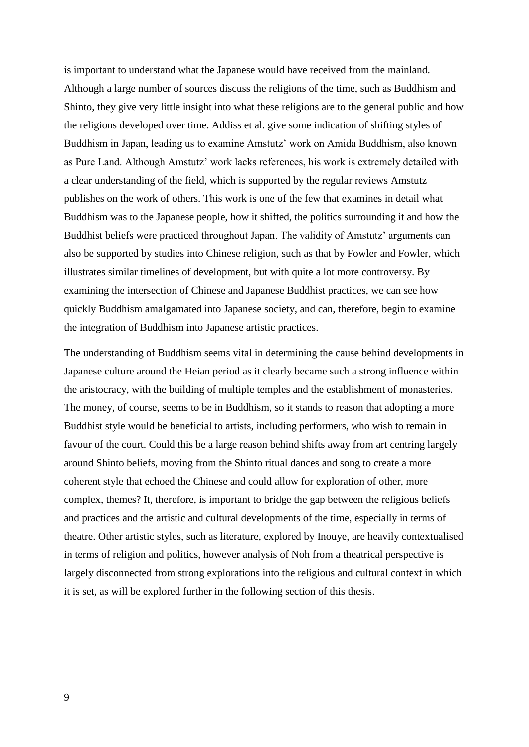is important to understand what the Japanese would have received from the mainland. Although a large number of sources discuss the religions of the time, such as Buddhism and Shinto, they give very little insight into what these religions are to the general public and how the religions developed over time. Addiss et al. give some indication of shifting styles of Buddhism in Japan, leading us to examine Amstutz' work on Amida Buddhism, also known as Pure Land. Although Amstutz' work lacks references, his work is extremely detailed with a clear understanding of the field, which is supported by the regular reviews Amstutz publishes on the work of others. This work is one of the few that examines in detail what Buddhism was to the Japanese people, how it shifted, the politics surrounding it and how the Buddhist beliefs were practiced throughout Japan. The validity of Amstutz' arguments can also be supported by studies into Chinese religion, such as that by Fowler and Fowler, which illustrates similar timelines of development, but with quite a lot more controversy. By examining the intersection of Chinese and Japanese Buddhist practices, we can see how quickly Buddhism amalgamated into Japanese society, and can, therefore, begin to examine the integration of Buddhism into Japanese artistic practices.

The understanding of Buddhism seems vital in determining the cause behind developments in Japanese culture around the Heian period as it clearly became such a strong influence within the aristocracy, with the building of multiple temples and the establishment of monasteries. The money, of course, seems to be in Buddhism, so it stands to reason that adopting a more Buddhist style would be beneficial to artists, including performers, who wish to remain in favour of the court. Could this be a large reason behind shifts away from art centring largely around Shinto beliefs, moving from the Shinto ritual dances and song to create a more coherent style that echoed the Chinese and could allow for exploration of other, more complex, themes? It, therefore, is important to bridge the gap between the religious beliefs and practices and the artistic and cultural developments of the time, especially in terms of theatre. Other artistic styles, such as literature, explored by Inouye, are heavily contextualised in terms of religion and politics, however analysis of Noh from a theatrical perspective is largely disconnected from strong explorations into the religious and cultural context in which it is set, as will be explored further in the following section of this thesis.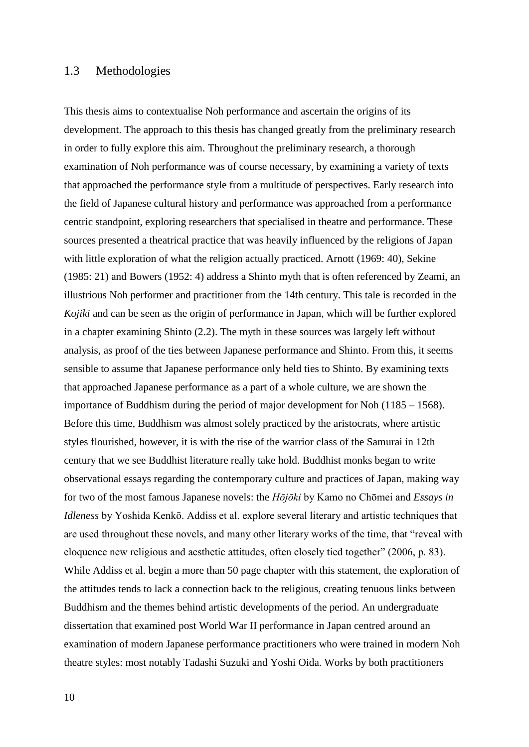#### <span id="page-10-0"></span>1.3 Methodologies

This thesis aims to contextualise Noh performance and ascertain the origins of its development. The approach to this thesis has changed greatly from the preliminary research in order to fully explore this aim. Throughout the preliminary research, a thorough examination of Noh performance was of course necessary, by examining a variety of texts that approached the performance style from a multitude of perspectives. Early research into the field of Japanese cultural history and performance was approached from a performance centric standpoint, exploring researchers that specialised in theatre and performance. These sources presented a theatrical practice that was heavily influenced by the religions of Japan with little exploration of what the religion actually practiced. Arnott (1969: 40), Sekine (1985: 21) and Bowers (1952: 4) address a Shinto myth that is often referenced by Zeami, an illustrious Noh performer and practitioner from the 14th century. This tale is recorded in the *Kojiki* and can be seen as the origin of performance in Japan, which will be further explored in a chapter examining Shinto (2.2). The myth in these sources was largely left without analysis, as proof of the ties between Japanese performance and Shinto. From this, it seems sensible to assume that Japanese performance only held ties to Shinto. By examining texts that approached Japanese performance as a part of a whole culture, we are shown the importance of Buddhism during the period of major development for Noh (1185 – 1568). Before this time, Buddhism was almost solely practiced by the aristocrats, where artistic styles flourished, however, it is with the rise of the warrior class of the Samurai in 12th century that we see Buddhist literature really take hold. Buddhist monks began to write observational essays regarding the contemporary culture and practices of Japan, making way for two of the most famous Japanese novels: the *Hōjōki* by Kamo no Chōmei and *Essays in Idleness* by Yoshida Kenkō. Addiss et al. explore several literary and artistic techniques that are used throughout these novels, and many other literary works of the time, that "reveal with eloquence new religious and aesthetic attitudes, often closely tied together" (2006, p. 83). While Addiss et al. begin a more than 50 page chapter with this statement, the exploration of the attitudes tends to lack a connection back to the religious, creating tenuous links between Buddhism and the themes behind artistic developments of the period. An undergraduate dissertation that examined post World War II performance in Japan centred around an examination of modern Japanese performance practitioners who were trained in modern Noh theatre styles: most notably Tadashi Suzuki and Yoshi Oida. Works by both practitioners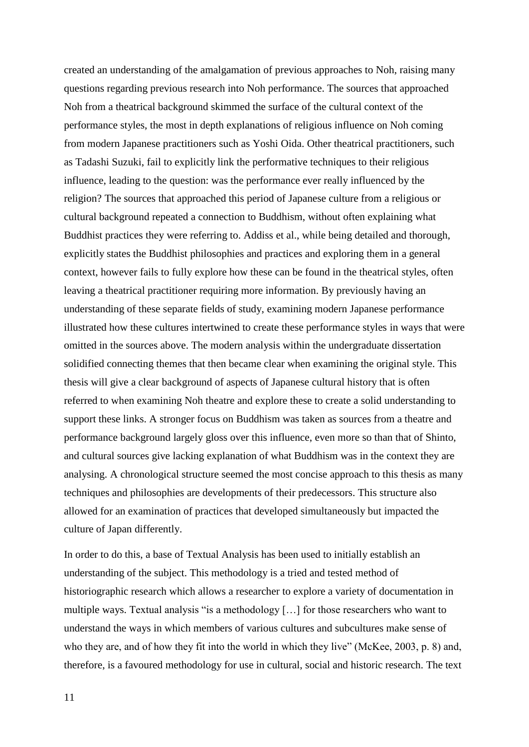created an understanding of the amalgamation of previous approaches to Noh, raising many questions regarding previous research into Noh performance. The sources that approached Noh from a theatrical background skimmed the surface of the cultural context of the performance styles, the most in depth explanations of religious influence on Noh coming from modern Japanese practitioners such as Yoshi Oida. Other theatrical practitioners, such as Tadashi Suzuki, fail to explicitly link the performative techniques to their religious influence, leading to the question: was the performance ever really influenced by the religion? The sources that approached this period of Japanese culture from a religious or cultural background repeated a connection to Buddhism, without often explaining what Buddhist practices they were referring to. Addiss et al., while being detailed and thorough, explicitly states the Buddhist philosophies and practices and exploring them in a general context, however fails to fully explore how these can be found in the theatrical styles, often leaving a theatrical practitioner requiring more information. By previously having an understanding of these separate fields of study, examining modern Japanese performance illustrated how these cultures intertwined to create these performance styles in ways that were omitted in the sources above. The modern analysis within the undergraduate dissertation solidified connecting themes that then became clear when examining the original style. This thesis will give a clear background of aspects of Japanese cultural history that is often referred to when examining Noh theatre and explore these to create a solid understanding to support these links. A stronger focus on Buddhism was taken as sources from a theatre and performance background largely gloss over this influence, even more so than that of Shinto, and cultural sources give lacking explanation of what Buddhism was in the context they are analysing. A chronological structure seemed the most concise approach to this thesis as many techniques and philosophies are developments of their predecessors. This structure also allowed for an examination of practices that developed simultaneously but impacted the culture of Japan differently.

In order to do this, a base of Textual Analysis has been used to initially establish an understanding of the subject. This methodology is a tried and tested method of historiographic research which allows a researcher to explore a variety of documentation in multiple ways. Textual analysis "is a methodology […] for those researchers who want to understand the ways in which members of various cultures and subcultures make sense of who they are, and of how they fit into the world in which they live" (McKee, 2003, p. 8) and, therefore, is a favoured methodology for use in cultural, social and historic research. The text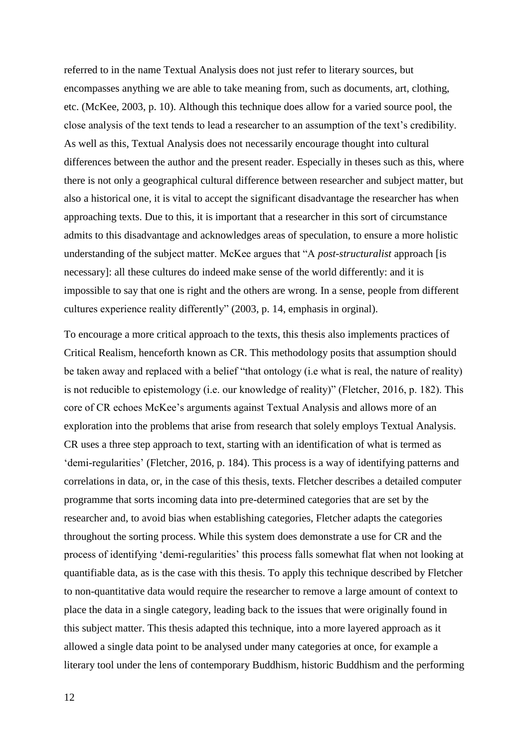referred to in the name Textual Analysis does not just refer to literary sources, but encompasses anything we are able to take meaning from, such as documents, art, clothing, etc. (McKee, 2003, p. 10). Although this technique does allow for a varied source pool, the close analysis of the text tends to lead a researcher to an assumption of the text's credibility. As well as this, Textual Analysis does not necessarily encourage thought into cultural differences between the author and the present reader. Especially in theses such as this, where there is not only a geographical cultural difference between researcher and subject matter, but also a historical one, it is vital to accept the significant disadvantage the researcher has when approaching texts. Due to this, it is important that a researcher in this sort of circumstance admits to this disadvantage and acknowledges areas of speculation, to ensure a more holistic understanding of the subject matter. McKee argues that "A *post-structuralist* approach [is necessary]: all these cultures do indeed make sense of the world differently: and it is impossible to say that one is right and the others are wrong. In a sense, people from different cultures experience reality differently" (2003, p. 14, emphasis in orginal).

To encourage a more critical approach to the texts, this thesis also implements practices of Critical Realism, henceforth known as CR. This methodology posits that assumption should be taken away and replaced with a belief "that ontology (i.e what is real, the nature of reality) is not reducible to epistemology (i.e. our knowledge of reality)" (Fletcher, 2016, p. 182). This core of CR echoes McKee's arguments against Textual Analysis and allows more of an exploration into the problems that arise from research that solely employs Textual Analysis. CR uses a three step approach to text, starting with an identification of what is termed as 'demi-regularities' (Fletcher, 2016, p. 184). This process is a way of identifying patterns and correlations in data, or, in the case of this thesis, texts. Fletcher describes a detailed computer programme that sorts incoming data into pre-determined categories that are set by the researcher and, to avoid bias when establishing categories, Fletcher adapts the categories throughout the sorting process. While this system does demonstrate a use for CR and the process of identifying 'demi-regularities' this process falls somewhat flat when not looking at quantifiable data, as is the case with this thesis. To apply this technique described by Fletcher to non-quantitative data would require the researcher to remove a large amount of context to place the data in a single category, leading back to the issues that were originally found in this subject matter. This thesis adapted this technique, into a more layered approach as it allowed a single data point to be analysed under many categories at once, for example a literary tool under the lens of contemporary Buddhism, historic Buddhism and the performing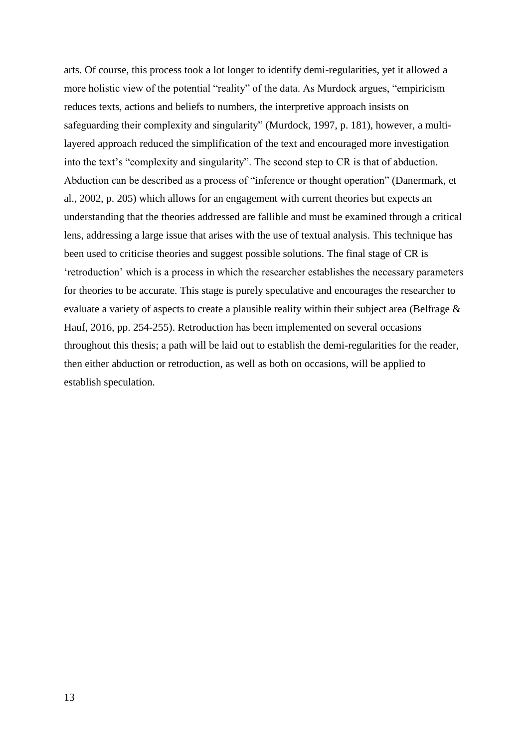arts. Of course, this process took a lot longer to identify demi-regularities, yet it allowed a more holistic view of the potential "reality" of the data. As Murdock argues, "empiricism reduces texts, actions and beliefs to numbers, the interpretive approach insists on safeguarding their complexity and singularity" (Murdock, 1997, p. 181), however, a multilayered approach reduced the simplification of the text and encouraged more investigation into the text's "complexity and singularity". The second step to CR is that of abduction. Abduction can be described as a process of "inference or thought operation" (Danermark, et al., 2002, p. 205) which allows for an engagement with current theories but expects an understanding that the theories addressed are fallible and must be examined through a critical lens, addressing a large issue that arises with the use of textual analysis. This technique has been used to criticise theories and suggest possible solutions. The final stage of CR is 'retroduction' which is a process in which the researcher establishes the necessary parameters for theories to be accurate. This stage is purely speculative and encourages the researcher to evaluate a variety of aspects to create a plausible reality within their subject area (Belfrage & Hauf, 2016, pp. 254-255). Retroduction has been implemented on several occasions throughout this thesis; a path will be laid out to establish the demi-regularities for the reader, then either abduction or retroduction, as well as both on occasions, will be applied to establish speculation.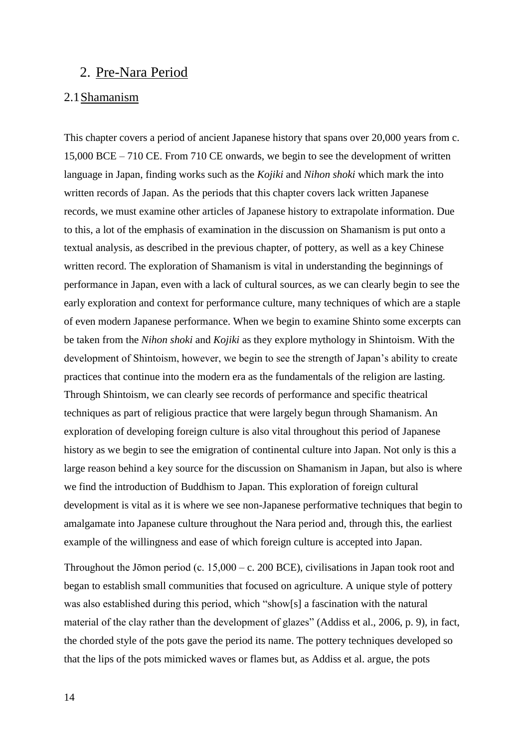## <span id="page-14-0"></span>2. Pre-Nara Period

#### <span id="page-14-1"></span>2.1Shamanism

This chapter covers a period of ancient Japanese history that spans over 20,000 years from c. 15,000 BCE – 710 CE. From 710 CE onwards, we begin to see the development of written language in Japan, finding works such as the *Kojiki* and *Nihon shoki* which mark the into written records of Japan. As the periods that this chapter covers lack written Japanese records, we must examine other articles of Japanese history to extrapolate information. Due to this, a lot of the emphasis of examination in the discussion on Shamanism is put onto a textual analysis, as described in the previous chapter, of pottery, as well as a key Chinese written record. The exploration of Shamanism is vital in understanding the beginnings of performance in Japan, even with a lack of cultural sources, as we can clearly begin to see the early exploration and context for performance culture, many techniques of which are a staple of even modern Japanese performance. When we begin to examine Shinto some excerpts can be taken from the *Nihon shoki* and *Kojiki* as they explore mythology in Shintoism. With the development of Shintoism, however, we begin to see the strength of Japan's ability to create practices that continue into the modern era as the fundamentals of the religion are lasting. Through Shintoism, we can clearly see records of performance and specific theatrical techniques as part of religious practice that were largely begun through Shamanism. An exploration of developing foreign culture is also vital throughout this period of Japanese history as we begin to see the emigration of continental culture into Japan. Not only is this a large reason behind a key source for the discussion on Shamanism in Japan, but also is where we find the introduction of Buddhism to Japan. This exploration of foreign cultural development is vital as it is where we see non-Japanese performative techniques that begin to amalgamate into Japanese culture throughout the Nara period and, through this, the earliest example of the willingness and ease of which foreign culture is accepted into Japan.

Throughout the Jōmon period (c.  $15,000 - c$ . 200 BCE), civilisations in Japan took root and began to establish small communities that focused on agriculture. A unique style of pottery was also established during this period, which "show[s] a fascination with the natural material of the clay rather than the development of glazes" (Addiss et al., 2006, p. 9), in fact, the chorded style of the pots gave the period its name. The pottery techniques developed so that the lips of the pots mimicked waves or flames but, as Addiss et al. argue, the pots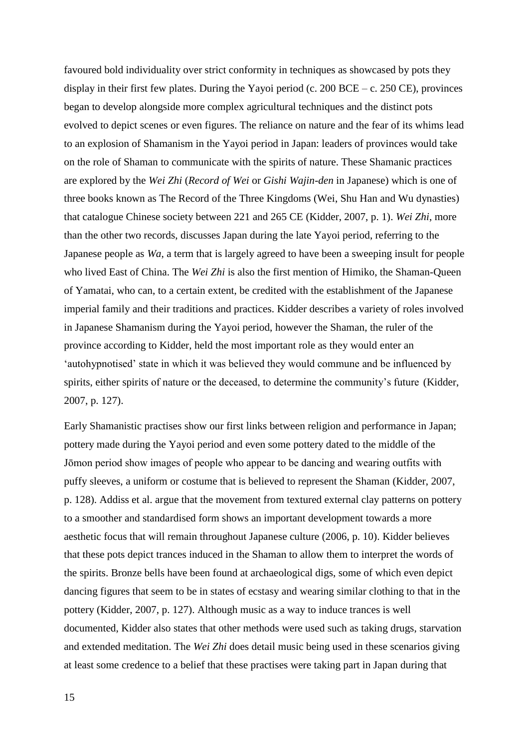favoured bold individuality over strict conformity in techniques as showcased by pots they display in their first few plates. During the Yayoi period (c.  $200$  BCE – c.  $250$  CE), provinces began to develop alongside more complex agricultural techniques and the distinct pots evolved to depict scenes or even figures. The reliance on nature and the fear of its whims lead to an explosion of Shamanism in the Yayoi period in Japan: leaders of provinces would take on the role of Shaman to communicate with the spirits of nature. These Shamanic practices are explored by the *Wei Zhi* (*Record of Wei* or *Gishi Wajin-den* in Japanese) which is one of three books known as The Record of the Three Kingdoms (Wei, Shu Han and Wu dynasties) that catalogue Chinese society between 221 and 265 CE (Kidder, 2007, p. 1). *Wei Zhi*, more than the other two records, discusses Japan during the late Yayoi period, referring to the Japanese people as *Wa*, a term that is largely agreed to have been a sweeping insult for people who lived East of China. The *Wei Zhi* is also the first mention of Himiko, the Shaman-Queen of Yamatai, who can, to a certain extent, be credited with the establishment of the Japanese imperial family and their traditions and practices. Kidder describes a variety of roles involved in Japanese Shamanism during the Yayoi period, however the Shaman, the ruler of the province according to Kidder, held the most important role as they would enter an 'autohypnotised' state in which it was believed they would commune and be influenced by spirits, either spirits of nature or the deceased, to determine the community's future (Kidder, 2007, p. 127).

Early Shamanistic practises show our first links between religion and performance in Japan; pottery made during the Yayoi period and even some pottery dated to the middle of the Jōmon period show images of people who appear to be dancing and wearing outfits with puffy sleeves, a uniform or costume that is believed to represent the Shaman (Kidder, 2007, p. 128). Addiss et al. argue that the movement from textured external clay patterns on pottery to a smoother and standardised form shows an important development towards a more aesthetic focus that will remain throughout Japanese culture (2006, p. 10). Kidder believes that these pots depict trances induced in the Shaman to allow them to interpret the words of the spirits. Bronze bells have been found at archaeological digs, some of which even depict dancing figures that seem to be in states of ecstasy and wearing similar clothing to that in the pottery (Kidder, 2007, p. 127). Although music as a way to induce trances is well documented, Kidder also states that other methods were used such as taking drugs, starvation and extended meditation. The *Wei Zhi* does detail music being used in these scenarios giving at least some credence to a belief that these practises were taking part in Japan during that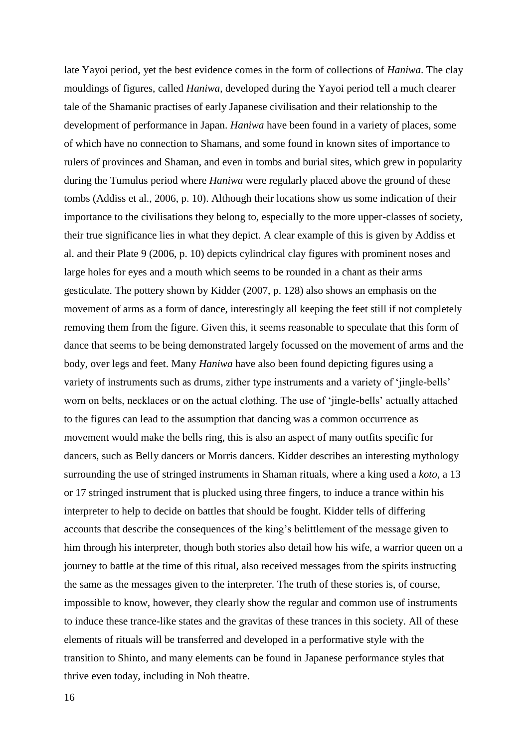late Yayoi period, yet the best evidence comes in the form of collections of *Haniwa*. The clay mouldings of figures, called *Haniwa*, developed during the Yayoi period tell a much clearer tale of the Shamanic practises of early Japanese civilisation and their relationship to the development of performance in Japan. *Haniwa* have been found in a variety of places, some of which have no connection to Shamans, and some found in known sites of importance to rulers of provinces and Shaman, and even in tombs and burial sites, which grew in popularity during the Tumulus period where *Haniwa* were regularly placed above the ground of these tombs (Addiss et al., 2006, p. 10). Although their locations show us some indication of their importance to the civilisations they belong to, especially to the more upper-classes of society, their true significance lies in what they depict. A clear example of this is given by Addiss et al. and their Plate 9 (2006, p. 10) depicts cylindrical clay figures with prominent noses and large holes for eyes and a mouth which seems to be rounded in a chant as their arms gesticulate. The pottery shown by Kidder (2007, p. 128) also shows an emphasis on the movement of arms as a form of dance, interestingly all keeping the feet still if not completely removing them from the figure. Given this, it seems reasonable to speculate that this form of dance that seems to be being demonstrated largely focussed on the movement of arms and the body, over legs and feet. Many *Haniwa* have also been found depicting figures using a variety of instruments such as drums, zither type instruments and a variety of 'jingle-bells' worn on belts, necklaces or on the actual clothing. The use of 'jingle-bells' actually attached to the figures can lead to the assumption that dancing was a common occurrence as movement would make the bells ring, this is also an aspect of many outfits specific for dancers, such as Belly dancers or Morris dancers. Kidder describes an interesting mythology surrounding the use of stringed instruments in Shaman rituals, where a king used a *koto,* a 13 or 17 stringed instrument that is plucked using three fingers, to induce a trance within his interpreter to help to decide on battles that should be fought. Kidder tells of differing accounts that describe the consequences of the king's belittlement of the message given to him through his interpreter, though both stories also detail how his wife, a warrior queen on a journey to battle at the time of this ritual, also received messages from the spirits instructing the same as the messages given to the interpreter. The truth of these stories is, of course, impossible to know, however, they clearly show the regular and common use of instruments to induce these trance-like states and the gravitas of these trances in this society. All of these elements of rituals will be transferred and developed in a performative style with the transition to Shinto, and many elements can be found in Japanese performance styles that thrive even today, including in Noh theatre.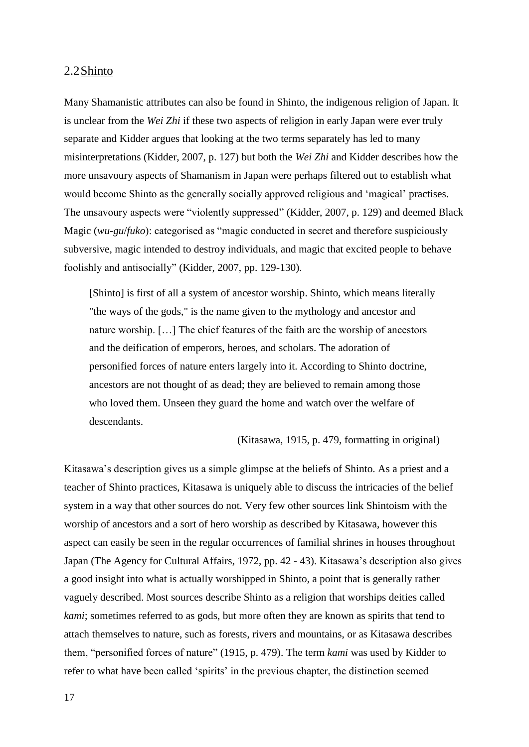#### <span id="page-17-0"></span>2.2Shinto

Many Shamanistic attributes can also be found in Shinto, the indigenous religion of Japan. It is unclear from the *Wei Zhi* if these two aspects of religion in early Japan were ever truly separate and Kidder argues that looking at the two terms separately has led to many misinterpretations (Kidder, 2007, p. 127) but both the *Wei Zhi* and Kidder describes how the more unsavoury aspects of Shamanism in Japan were perhaps filtered out to establish what would become Shinto as the generally socially approved religious and 'magical' practises. The unsavoury aspects were "violently suppressed" (Kidder, 2007, p. 129) and deemed Black Magic (*wu-gu*/*fuko*): categorised as "magic conducted in secret and therefore suspiciously subversive, magic intended to destroy individuals, and magic that excited people to behave foolishly and antisocially" (Kidder, 2007, pp. 129-130).

[Shinto] is first of all a system of ancestor worship. Shinto, which means literally "the ways of the gods," is the name given to the mythology and ancestor and nature worship. […] The chief features of the faith are the worship of ancestors and the deification of emperors, heroes, and scholars. The adoration of personified forces of nature enters largely into it. According to Shinto doctrine, ancestors are not thought of as dead; they are believed to remain among those who loved them. Unseen they guard the home and watch over the welfare of descendants.

(Kitasawa, 1915, p. 479, formatting in original)

Kitasawa's description gives us a simple glimpse at the beliefs of Shinto. As a priest and a teacher of Shinto practices, Kitasawa is uniquely able to discuss the intricacies of the belief system in a way that other sources do not. Very few other sources link Shintoism with the worship of ancestors and a sort of hero worship as described by Kitasawa, however this aspect can easily be seen in the regular occurrences of familial shrines in houses throughout Japan (The Agency for Cultural Affairs, 1972, pp. 42 - 43). Kitasawa's description also gives a good insight into what is actually worshipped in Shinto, a point that is generally rather vaguely described. Most sources describe Shinto as a religion that worships deities called *kami*; sometimes referred to as gods, but more often they are known as spirits that tend to attach themselves to nature, such as forests, rivers and mountains, or as Kitasawa describes them, "personified forces of nature" (1915, p. 479). The term *kami* was used by Kidder to refer to what have been called 'spirits' in the previous chapter, the distinction seemed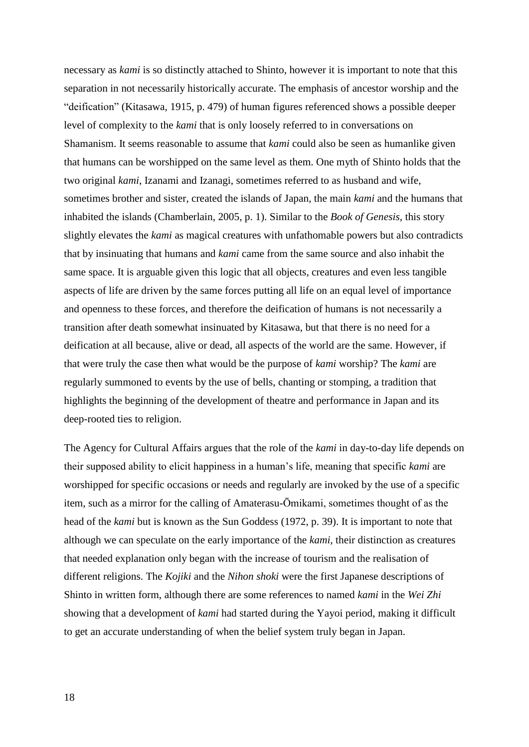necessary as *kami* is so distinctly attached to Shinto, however it is important to note that this separation in not necessarily historically accurate. The emphasis of ancestor worship and the "deification" (Kitasawa, 1915, p. 479) of human figures referenced shows a possible deeper level of complexity to the *kami* that is only loosely referred to in conversations on Shamanism. It seems reasonable to assume that *kami* could also be seen as humanlike given that humans can be worshipped on the same level as them. One myth of Shinto holds that the two original *kami*, Izanami and Izanagi, sometimes referred to as husband and wife, sometimes brother and sister, created the islands of Japan, the main *kami* and the humans that inhabited the islands (Chamberlain, 2005, p. 1). Similar to the *Book of Genesis*, this story slightly elevates the *kami* as magical creatures with unfathomable powers but also contradicts that by insinuating that humans and *kami* came from the same source and also inhabit the same space. It is arguable given this logic that all objects, creatures and even less tangible aspects of life are driven by the same forces putting all life on an equal level of importance and openness to these forces, and therefore the deification of humans is not necessarily a transition after death somewhat insinuated by Kitasawa, but that there is no need for a deification at all because, alive or dead, all aspects of the world are the same. However, if that were truly the case then what would be the purpose of *kami* worship? The *kami* are regularly summoned to events by the use of bells, chanting or stomping, a tradition that highlights the beginning of the development of theatre and performance in Japan and its deep-rooted ties to religion.

The Agency for Cultural Affairs argues that the role of the *kami* in day-to-day life depends on their supposed ability to elicit happiness in a human's life, meaning that specific *kami* are worshipped for specific occasions or needs and regularly are invoked by the use of a specific item, such as a mirror for the calling of Amaterasu-Ōmikami, sometimes thought of as the head of the *kami* but is known as the Sun Goddess (1972, p. 39). It is important to note that although we can speculate on the early importance of the *kami*, their distinction as creatures that needed explanation only began with the increase of tourism and the realisation of different religions. The *Kojiki* and the *Nihon shoki* were the first Japanese descriptions of Shinto in written form, although there are some references to named *kami* in the *Wei Zhi*  showing that a development of *kami* had started during the Yayoi period, making it difficult to get an accurate understanding of when the belief system truly began in Japan.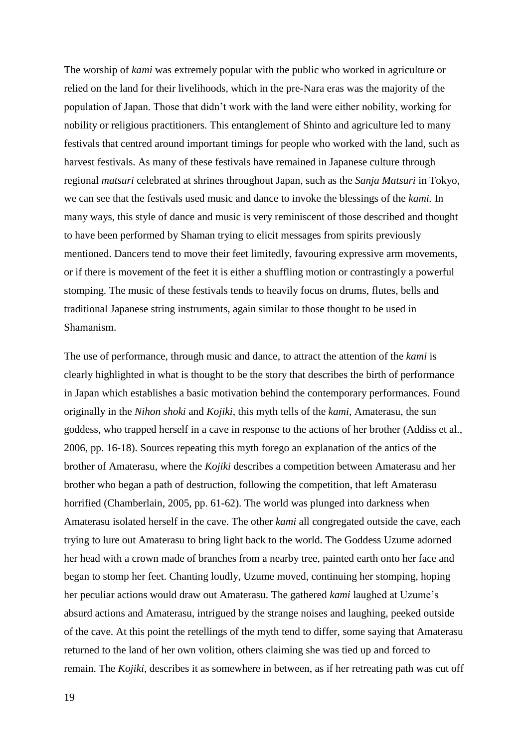The worship of *kami* was extremely popular with the public who worked in agriculture or relied on the land for their livelihoods, which in the pre-Nara eras was the majority of the population of Japan. Those that didn't work with the land were either nobility, working for nobility or religious practitioners. This entanglement of Shinto and agriculture led to many festivals that centred around important timings for people who worked with the land, such as harvest festivals. As many of these festivals have remained in Japanese culture through regional *matsuri* celebrated at shrines throughout Japan, such as the *Sanja Matsuri* in Tokyo, we can see that the festivals used music and dance to invoke the blessings of the *kami.* In many ways, this style of dance and music is very reminiscent of those described and thought to have been performed by Shaman trying to elicit messages from spirits previously mentioned. Dancers tend to move their feet limitedly, favouring expressive arm movements, or if there is movement of the feet it is either a shuffling motion or contrastingly a powerful stomping. The music of these festivals tends to heavily focus on drums, flutes, bells and traditional Japanese string instruments, again similar to those thought to be used in Shamanism.

The use of performance, through music and dance, to attract the attention of the *kami* is clearly highlighted in what is thought to be the story that describes the birth of performance in Japan which establishes a basic motivation behind the contemporary performances. Found originally in the *Nihon shoki* and *Kojiki*, this myth tells of the *kami*, Amaterasu, the sun goddess, who trapped herself in a cave in response to the actions of her brother (Addiss et al., 2006, pp. 16-18). Sources repeating this myth forego an explanation of the antics of the brother of Amaterasu, where the *Kojiki* describes a competition between Amaterasu and her brother who began a path of destruction, following the competition, that left Amaterasu horrified (Chamberlain, 2005, pp. 61-62). The world was plunged into darkness when Amaterasu isolated herself in the cave. The other *kami* all congregated outside the cave, each trying to lure out Amaterasu to bring light back to the world. The Goddess Uzume adorned her head with a crown made of branches from a nearby tree, painted earth onto her face and began to stomp her feet. Chanting loudly, Uzume moved, continuing her stomping, hoping her peculiar actions would draw out Amaterasu. The gathered *kami* laughed at Uzume's absurd actions and Amaterasu, intrigued by the strange noises and laughing, peeked outside of the cave. At this point the retellings of the myth tend to differ, some saying that Amaterasu returned to the land of her own volition, others claiming she was tied up and forced to remain. The *Kojiki*, describes it as somewhere in between, as if her retreating path was cut off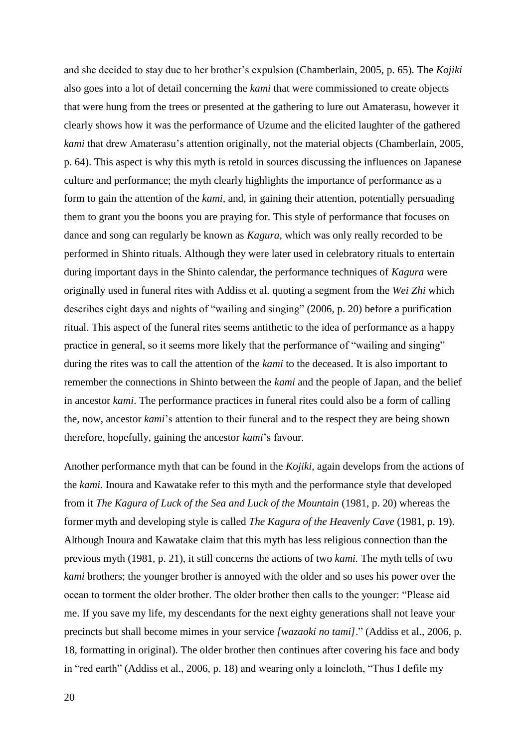and she decided to stay due to her brother's expulsion (Chamberlain, 2005, p. 65). The *Kojiki* also goes into a lot of detail concerning the *kami* that were commissioned to create objects that were hung from the trees or presented at the gathering to lure out Amaterasu, however it clearly shows how it was the performance of Uzume and the elicited laughter of the gathered *kami* that drew Amaterasu's attention originally, not the material objects (Chamberlain, 2005, p. 64). This aspect is why this myth is retold in sources discussing the influences on Japanese culture and performance; the myth clearly highlights the importance of performance as a form to gain the attention of the *kami,* and, in gaining their attention, potentially persuading them to grant you the boons you are praying for. This style of performance that focuses on dance and song can regularly be known as *Kagura,* which was only really recorded to be performed in Shinto rituals. Although they were later used in celebratory rituals to entertain during important days in the Shinto calendar, the performance techniques of *Kagura* were originally used in funeral rites with Addiss et al. quoting a segment from the *Wei Zhi* which describes eight days and nights of "wailing and singing" (2006, p. 20) before a purification ritual. This aspect of the funeral rites seems antithetic to the idea of performance as a happy practice in general, so it seems more likely that the performance of "wailing and singing" during the rites was to call the attention of the *kami* to the deceased. It is also important to remember the connections in Shinto between the *kami* and the people of Japan, and the belief in ancestor *kami*. The performance practices in funeral rites could also be a form of calling the, now, ancestor *kami*'s attention to their funeral and to the respect they are being shown therefore, hopefully, gaining the ancestor *kami*'s favour.

Another performance myth that can be found in the *Kojiki*, again develops from the actions of the *kami.* Inoura and Kawatake refer to this myth and the performance style that developed from it *The Kagura of Luck of the Sea and Luck of the Mountain* (1981, p. 20) whereas the former myth and developing style is called *The Kagura of the Heavenly Cave* (1981, p. 19). Although Inoura and Kawatake claim that this myth has less religious connection than the previous myth (1981, p. 21), it still concerns the actions of two *kami.* The myth tells of two *kami* brothers; the younger brother is annoyed with the older and so uses his power over the ocean to torment the older brother. The older brother then calls to the younger: "Please aid me. If you save my life, my descendants for the next eighty generations shall not leave your precincts but shall become mimes in your service *[wazaoki no tami]*." (Addiss et al., 2006, p. 18, formatting in original). The older brother then continues after covering his face and body in "red earth" (Addiss et al., 2006, p. 18) and wearing only a loincloth, "Thus I defile my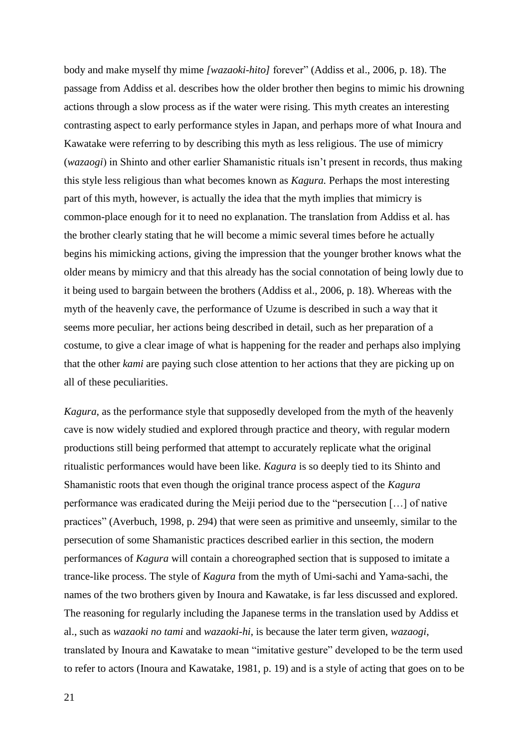body and make myself thy mime *[wazaoki-hito]* forever" (Addiss et al., 2006, p. 18). The passage from Addiss et al. describes how the older brother then begins to mimic his drowning actions through a slow process as if the water were rising. This myth creates an interesting contrasting aspect to early performance styles in Japan, and perhaps more of what Inoura and Kawatake were referring to by describing this myth as less religious. The use of mimicry (*wazaogi*) in Shinto and other earlier Shamanistic rituals isn't present in records, thus making this style less religious than what becomes known as *Kagura.* Perhaps the most interesting part of this myth, however, is actually the idea that the myth implies that mimicry is common-place enough for it to need no explanation. The translation from Addiss et al. has the brother clearly stating that he will become a mimic several times before he actually begins his mimicking actions, giving the impression that the younger brother knows what the older means by mimicry and that this already has the social connotation of being lowly due to it being used to bargain between the brothers (Addiss et al., 2006, p. 18). Whereas with the myth of the heavenly cave, the performance of Uzume is described in such a way that it seems more peculiar, her actions being described in detail, such as her preparation of a costume, to give a clear image of what is happening for the reader and perhaps also implying that the other *kami* are paying such close attention to her actions that they are picking up on all of these peculiarities.

*Kagura*, as the performance style that supposedly developed from the myth of the heavenly cave is now widely studied and explored through practice and theory, with regular modern productions still being performed that attempt to accurately replicate what the original ritualistic performances would have been like. *Kagura* is so deeply tied to its Shinto and Shamanistic roots that even though the original trance process aspect of the *Kagura*  performance was eradicated during the Meiji period due to the "persecution […] of native practices" (Averbuch, 1998, p. 294) that were seen as primitive and unseemly, similar to the persecution of some Shamanistic practices described earlier in this section, the modern performances of *Kagura* will contain a choreographed section that is supposed to imitate a trance-like process. The style of *Kagura* from the myth of Umi-sachi and Yama-sachi, the names of the two brothers given by Inoura and Kawatake, is far less discussed and explored. The reasoning for regularly including the Japanese terms in the translation used by Addiss et al., such as *wazaoki no tami* and *wazaoki-hi*, is because the later term given, *wazaogi*, translated by Inoura and Kawatake to mean "imitative gesture" developed to be the term used to refer to actors (Inoura and Kawatake, 1981, p. 19) and is a style of acting that goes on to be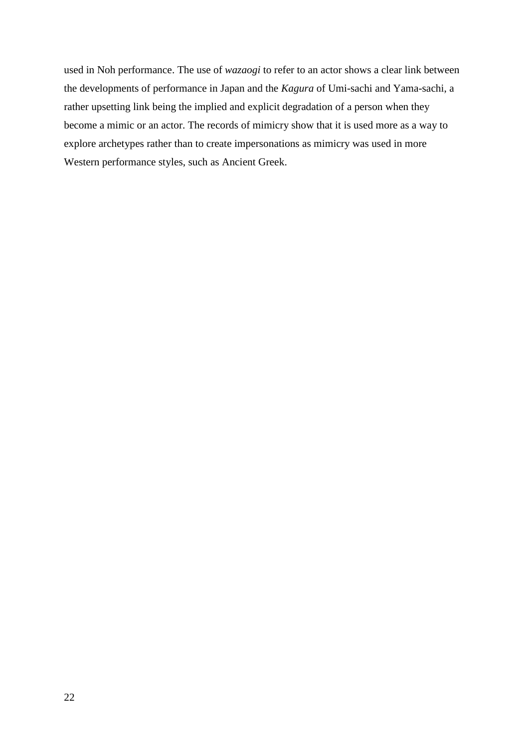used in Noh performance. The use of *wazaogi* to refer to an actor shows a clear link between the developments of performance in Japan and the *Kagura* of Umi-sachi and Yama-sachi, a rather upsetting link being the implied and explicit degradation of a person when they become a mimic or an actor. The records of mimicry show that it is used more as a way to explore archetypes rather than to create impersonations as mimicry was used in more Western performance styles, such as Ancient Greek.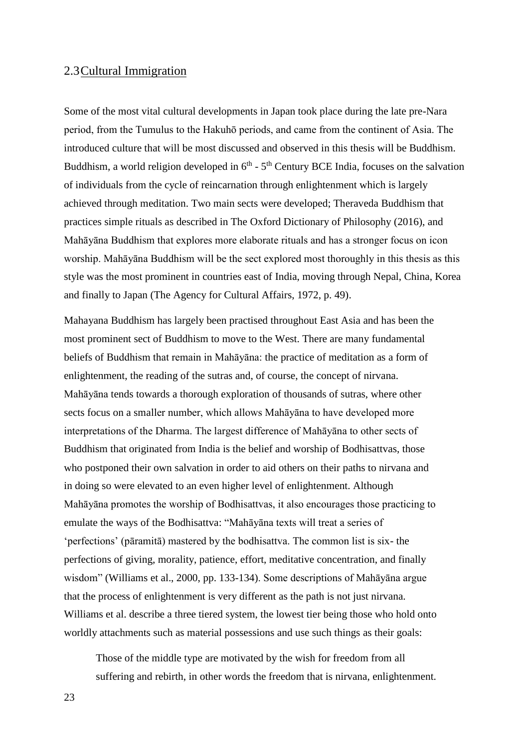#### <span id="page-23-0"></span>2.3Cultural Immigration

Some of the most vital cultural developments in Japan took place during the late pre-Nara period, from the Tumulus to the Hakuhō periods, and came from the continent of Asia. The introduced culture that will be most discussed and observed in this thesis will be Buddhism. Buddhism, a world religion developed in  $6<sup>th</sup>$  -  $5<sup>th</sup>$  Century BCE India, focuses on the salvation of individuals from the cycle of reincarnation through enlightenment which is largely achieved through meditation. Two main sects were developed; Theraveda Buddhism that practices simple rituals as described in The Oxford Dictionary of Philosophy (2016), and Mahāyāna Buddhism that explores more elaborate rituals and has a stronger focus on icon worship. Mahāyāna Buddhism will be the sect explored most thoroughly in this thesis as this style was the most prominent in countries east of India, moving through Nepal, China, Korea and finally to Japan (The Agency for Cultural Affairs, 1972, p. 49).

Mahayana Buddhism has largely been practised throughout East Asia and has been the most prominent sect of Buddhism to move to the West. There are many fundamental beliefs of Buddhism that remain in Mahāyāna: the practice of meditation as a form of enlightenment, the reading of the sutras and, of course, the concept of nirvana. Mahāyāna tends towards a thorough exploration of thousands of sutras, where other sects focus on a smaller number, which allows Mahāyāna to have developed more interpretations of the Dharma. The largest difference of Mahāyāna to other sects of Buddhism that originated from India is the belief and worship of Bodhisattvas, those who postponed their own salvation in order to aid others on their paths to nirvana and in doing so were elevated to an even higher level of enlightenment. Although Mahāyāna promotes the worship of Bodhisattvas, it also encourages those practicing to emulate the ways of the Bodhisattva: "Mahāyāna texts will treat a series of 'perfections' (pāramitā) mastered by the bodhisattva. The common list is six- the perfections of giving, morality, patience, effort, meditative concentration, and finally wisdom" (Williams et al., 2000, pp. 133-134). Some descriptions of Mahāyāna argue that the process of enlightenment is very different as the path is not just nirvana. Williams et al. describe a three tiered system, the lowest tier being those who hold onto worldly attachments such as material possessions and use such things as their goals:

Those of the middle type are motivated by the wish for freedom from all suffering and rebirth, in other words the freedom that is nirvana, enlightenment.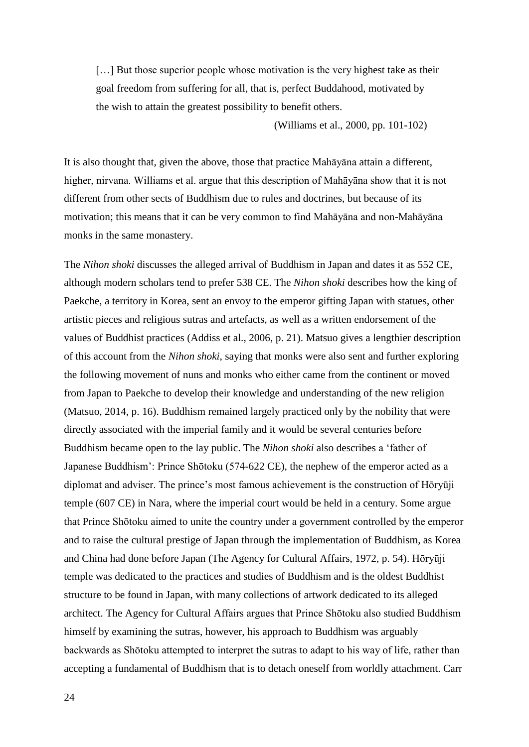[...] But those superior people whose motivation is the very highest take as their goal freedom from suffering for all, that is, perfect Buddahood, motivated by the wish to attain the greatest possibility to benefit others.

(Williams et al., 2000, pp. 101-102)

It is also thought that, given the above, those that practice Mahāyāna attain a different, higher, nirvana. Williams et al. argue that this description of Mahāyāna show that it is not different from other sects of Buddhism due to rules and doctrines, but because of its motivation; this means that it can be very common to find Mahāyāna and non-Mahāyāna monks in the same monastery.

The *Nihon shoki* discusses the alleged arrival of Buddhism in Japan and dates it as 552 CE, although modern scholars tend to prefer 538 CE. The *Nihon shoki* describes how the king of Paekche, a territory in Korea, sent an envoy to the emperor gifting Japan with statues, other artistic pieces and religious sutras and artefacts, as well as a written endorsement of the values of Buddhist practices (Addiss et al., 2006, p. 21). Matsuo gives a lengthier description of this account from the *Nihon shoki*, saying that monks were also sent and further exploring the following movement of nuns and monks who either came from the continent or moved from Japan to Paekche to develop their knowledge and understanding of the new religion (Matsuo, 2014, p. 16). Buddhism remained largely practiced only by the nobility that were directly associated with the imperial family and it would be several centuries before Buddhism became open to the lay public. The *Nihon shoki* also describes a 'father of Japanese Buddhism': Prince Shōtoku (574-622 CE), the nephew of the emperor acted as a diplomat and adviser. The prince's most famous achievement is the construction of Hōryūji temple (607 CE) in Nara, where the imperial court would be held in a century. Some argue that Prince Shōtoku aimed to unite the country under a government controlled by the emperor and to raise the cultural prestige of Japan through the implementation of Buddhism, as Korea and China had done before Japan (The Agency for Cultural Affairs, 1972, p. 54). Hōryūji temple was dedicated to the practices and studies of Buddhism and is the oldest Buddhist structure to be found in Japan, with many collections of artwork dedicated to its alleged architect. The Agency for Cultural Affairs argues that Prince Shōtoku also studied Buddhism himself by examining the sutras, however, his approach to Buddhism was arguably backwards as Shōtoku attempted to interpret the sutras to adapt to his way of life, rather than accepting a fundamental of Buddhism that is to detach oneself from worldly attachment. Carr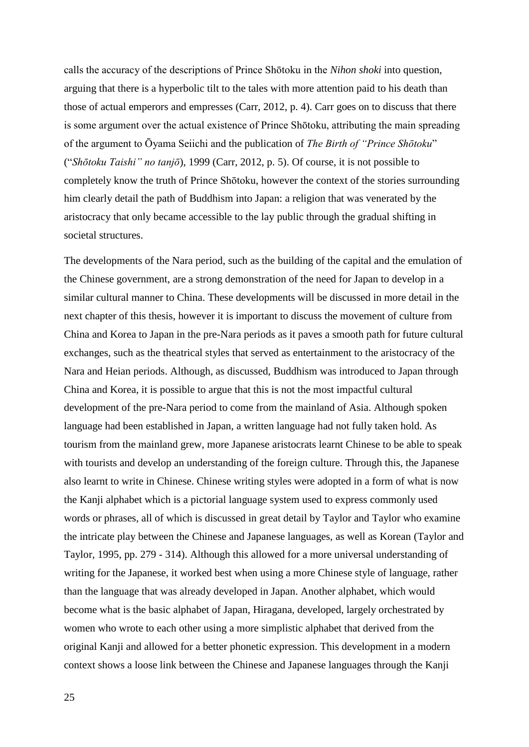calls the accuracy of the descriptions of Prince Shōtoku in the *Nihon shoki* into question, arguing that there is a hyperbolic tilt to the tales with more attention paid to his death than those of actual emperors and empresses (Carr, 2012, p. 4). Carr goes on to discuss that there is some argument over the actual existence of Prince Shōtoku, attributing the main spreading of the argument to Ōyama Seiichi and the publication of *The Birth of "Prince Shōtoku*" ("*Shōtoku Taishi" no tanjō*), 1999 (Carr, 2012, p. 5). Of course, it is not possible to completely know the truth of Prince Shōtoku, however the context of the stories surrounding him clearly detail the path of Buddhism into Japan: a religion that was venerated by the aristocracy that only became accessible to the lay public through the gradual shifting in societal structures.

The developments of the Nara period, such as the building of the capital and the emulation of the Chinese government, are a strong demonstration of the need for Japan to develop in a similar cultural manner to China. These developments will be discussed in more detail in the next chapter of this thesis, however it is important to discuss the movement of culture from China and Korea to Japan in the pre-Nara periods as it paves a smooth path for future cultural exchanges, such as the theatrical styles that served as entertainment to the aristocracy of the Nara and Heian periods. Although, as discussed, Buddhism was introduced to Japan through China and Korea, it is possible to argue that this is not the most impactful cultural development of the pre-Nara period to come from the mainland of Asia. Although spoken language had been established in Japan, a written language had not fully taken hold. As tourism from the mainland grew, more Japanese aristocrats learnt Chinese to be able to speak with tourists and develop an understanding of the foreign culture. Through this, the Japanese also learnt to write in Chinese. Chinese writing styles were adopted in a form of what is now the Kanji alphabet which is a pictorial language system used to express commonly used words or phrases, all of which is discussed in great detail by Taylor and Taylor who examine the intricate play between the Chinese and Japanese languages, as well as Korean (Taylor and Taylor, 1995, pp. 279 - 314). Although this allowed for a more universal understanding of writing for the Japanese, it worked best when using a more Chinese style of language, rather than the language that was already developed in Japan. Another alphabet, which would become what is the basic alphabet of Japan, Hiragana, developed, largely orchestrated by women who wrote to each other using a more simplistic alphabet that derived from the original Kanji and allowed for a better phonetic expression. This development in a modern context shows a loose link between the Chinese and Japanese languages through the Kanji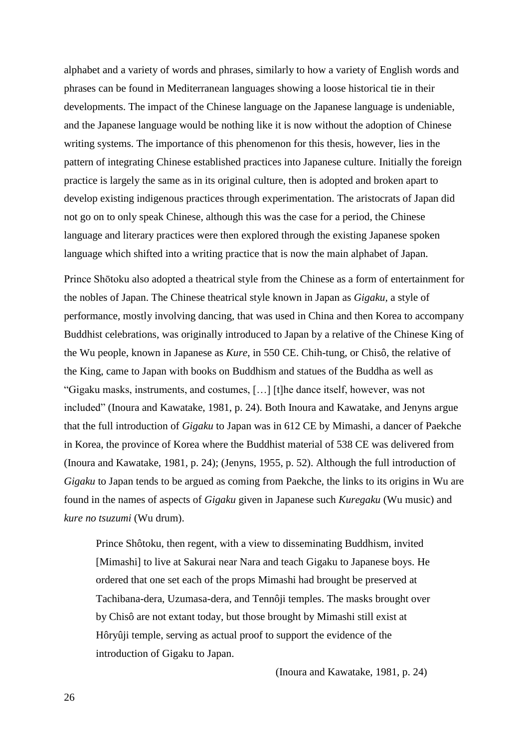alphabet and a variety of words and phrases, similarly to how a variety of English words and phrases can be found in Mediterranean languages showing a loose historical tie in their developments. The impact of the Chinese language on the Japanese language is undeniable, and the Japanese language would be nothing like it is now without the adoption of Chinese writing systems. The importance of this phenomenon for this thesis, however, lies in the pattern of integrating Chinese established practices into Japanese culture. Initially the foreign practice is largely the same as in its original culture, then is adopted and broken apart to develop existing indigenous practices through experimentation. The aristocrats of Japan did not go on to only speak Chinese, although this was the case for a period, the Chinese language and literary practices were then explored through the existing Japanese spoken language which shifted into a writing practice that is now the main alphabet of Japan.

Prince Shōtoku also adopted a theatrical style from the Chinese as a form of entertainment for the nobles of Japan. The Chinese theatrical style known in Japan as *Gigaku,* a style of performance, mostly involving dancing, that was used in China and then Korea to accompany Buddhist celebrations, was originally introduced to Japan by a relative of the Chinese King of the Wu people, known in Japanese as *Kure*, in 550 CE. Chih-tung, or Chisô, the relative of the King, came to Japan with books on Buddhism and statues of the Buddha as well as "Gigaku masks, instruments, and costumes, […] [t]he dance itself, however, was not included" (Inoura and Kawatake, 1981, p. 24). Both Inoura and Kawatake, and Jenyns argue that the full introduction of *Gigaku* to Japan was in 612 CE by Mimashi, a dancer of Paekche in Korea, the province of Korea where the Buddhist material of 538 CE was delivered from (Inoura and Kawatake, 1981, p. 24); (Jenyns, 1955, p. 52). Although the full introduction of *Gigaku* to Japan tends to be argued as coming from Paekche, the links to its origins in Wu are found in the names of aspects of *Gigaku* given in Japanese such *Kuregaku* (Wu music) and *kure no tsuzumi* (Wu drum).

Prince Shôtoku, then regent, with a view to disseminating Buddhism, invited [Mimashi] to live at Sakurai near Nara and teach Gigaku to Japanese boys. He ordered that one set each of the props Mimashi had brought be preserved at Tachibana-dera, Uzumasa-dera, and Tennôji temples. The masks brought over by Chisô are not extant today, but those brought by Mimashi still exist at Hôryûji temple, serving as actual proof to support the evidence of the introduction of Gigaku to Japan.

(Inoura and Kawatake, 1981, p. 24)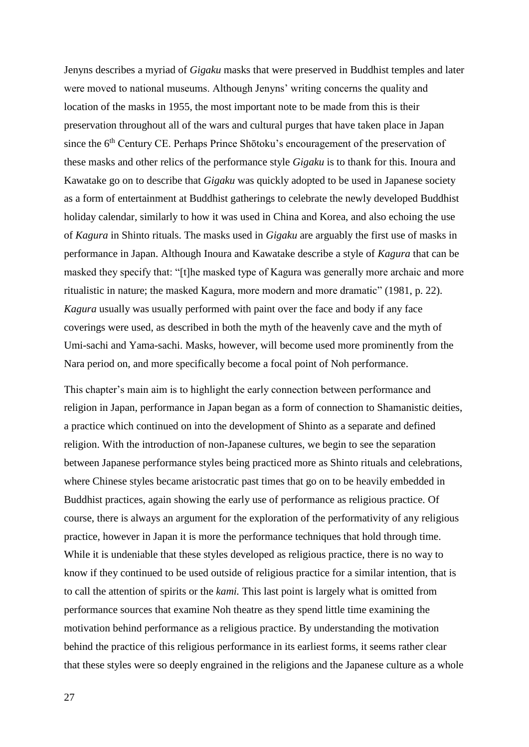Jenyns describes a myriad of *Gigaku* masks that were preserved in Buddhist temples and later were moved to national museums. Although Jenyns' writing concerns the quality and location of the masks in 1955, the most important note to be made from this is their preservation throughout all of the wars and cultural purges that have taken place in Japan since the 6<sup>th</sup> Century CE. Perhaps Prince Shōtoku's encouragement of the preservation of these masks and other relics of the performance style *Gigaku* is to thank for this. Inoura and Kawatake go on to describe that *Gigaku* was quickly adopted to be used in Japanese society as a form of entertainment at Buddhist gatherings to celebrate the newly developed Buddhist holiday calendar, similarly to how it was used in China and Korea, and also echoing the use of *Kagura* in Shinto rituals. The masks used in *Gigaku* are arguably the first use of masks in performance in Japan. Although Inoura and Kawatake describe a style of *Kagura* that can be masked they specify that: "[t]he masked type of Kagura was generally more archaic and more ritualistic in nature; the masked Kagura, more modern and more dramatic" (1981, p. 22). *Kagura* usually was usually performed with paint over the face and body if any face coverings were used, as described in both the myth of the heavenly cave and the myth of Umi-sachi and Yama-sachi. Masks, however, will become used more prominently from the Nara period on, and more specifically become a focal point of Noh performance.

This chapter's main aim is to highlight the early connection between performance and religion in Japan, performance in Japan began as a form of connection to Shamanistic deities, a practice which continued on into the development of Shinto as a separate and defined religion. With the introduction of non-Japanese cultures, we begin to see the separation between Japanese performance styles being practiced more as Shinto rituals and celebrations, where Chinese styles became aristocratic past times that go on to be heavily embedded in Buddhist practices, again showing the early use of performance as religious practice. Of course, there is always an argument for the exploration of the performativity of any religious practice, however in Japan it is more the performance techniques that hold through time. While it is undeniable that these styles developed as religious practice, there is no way to know if they continued to be used outside of religious practice for a similar intention, that is to call the attention of spirits or the *kami.* This last point is largely what is omitted from performance sources that examine Noh theatre as they spend little time examining the motivation behind performance as a religious practice. By understanding the motivation behind the practice of this religious performance in its earliest forms, it seems rather clear that these styles were so deeply engrained in the religions and the Japanese culture as a whole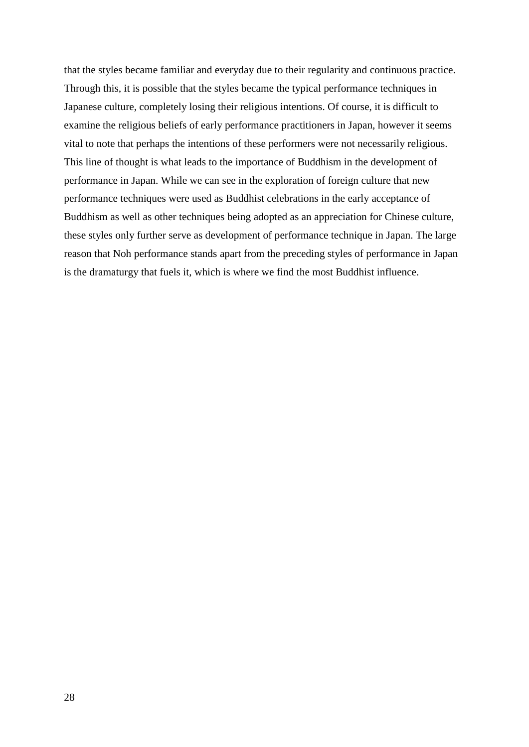that the styles became familiar and everyday due to their regularity and continuous practice. Through this, it is possible that the styles became the typical performance techniques in Japanese culture, completely losing their religious intentions. Of course, it is difficult to examine the religious beliefs of early performance practitioners in Japan, however it seems vital to note that perhaps the intentions of these performers were not necessarily religious. This line of thought is what leads to the importance of Buddhism in the development of performance in Japan. While we can see in the exploration of foreign culture that new performance techniques were used as Buddhist celebrations in the early acceptance of Buddhism as well as other techniques being adopted as an appreciation for Chinese culture, these styles only further serve as development of performance technique in Japan. The large reason that Noh performance stands apart from the preceding styles of performance in Japan is the dramaturgy that fuels it, which is where we find the most Buddhist influence.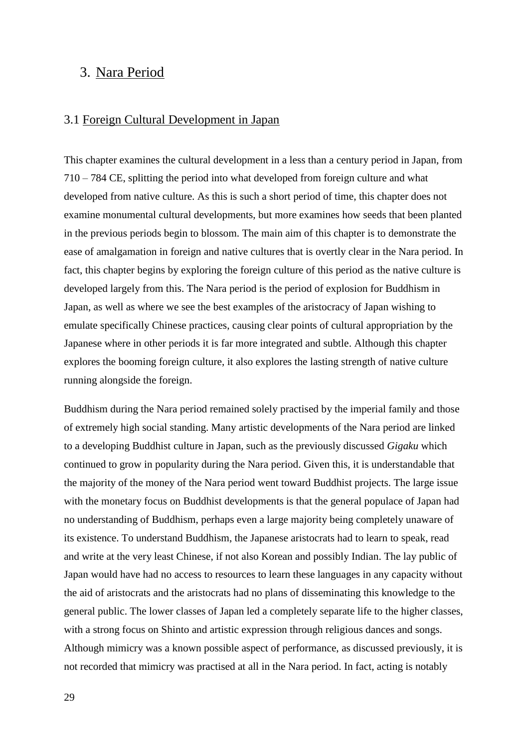## <span id="page-29-0"></span>3. Nara Period

#### <span id="page-29-1"></span>3.1 Foreign Cultural Development in Japan

This chapter examines the cultural development in a less than a century period in Japan, from 710 – 784 CE, splitting the period into what developed from foreign culture and what developed from native culture. As this is such a short period of time, this chapter does not examine monumental cultural developments, but more examines how seeds that been planted in the previous periods begin to blossom. The main aim of this chapter is to demonstrate the ease of amalgamation in foreign and native cultures that is overtly clear in the Nara period. In fact, this chapter begins by exploring the foreign culture of this period as the native culture is developed largely from this. The Nara period is the period of explosion for Buddhism in Japan, as well as where we see the best examples of the aristocracy of Japan wishing to emulate specifically Chinese practices, causing clear points of cultural appropriation by the Japanese where in other periods it is far more integrated and subtle. Although this chapter explores the booming foreign culture, it also explores the lasting strength of native culture running alongside the foreign.

Buddhism during the Nara period remained solely practised by the imperial family and those of extremely high social standing. Many artistic developments of the Nara period are linked to a developing Buddhist culture in Japan, such as the previously discussed *Gigaku* which continued to grow in popularity during the Nara period. Given this, it is understandable that the majority of the money of the Nara period went toward Buddhist projects. The large issue with the monetary focus on Buddhist developments is that the general populace of Japan had no understanding of Buddhism, perhaps even a large majority being completely unaware of its existence. To understand Buddhism, the Japanese aristocrats had to learn to speak, read and write at the very least Chinese, if not also Korean and possibly Indian. The lay public of Japan would have had no access to resources to learn these languages in any capacity without the aid of aristocrats and the aristocrats had no plans of disseminating this knowledge to the general public. The lower classes of Japan led a completely separate life to the higher classes, with a strong focus on Shinto and artistic expression through religious dances and songs. Although mimicry was a known possible aspect of performance, as discussed previously, it is not recorded that mimicry was practised at all in the Nara period. In fact, acting is notably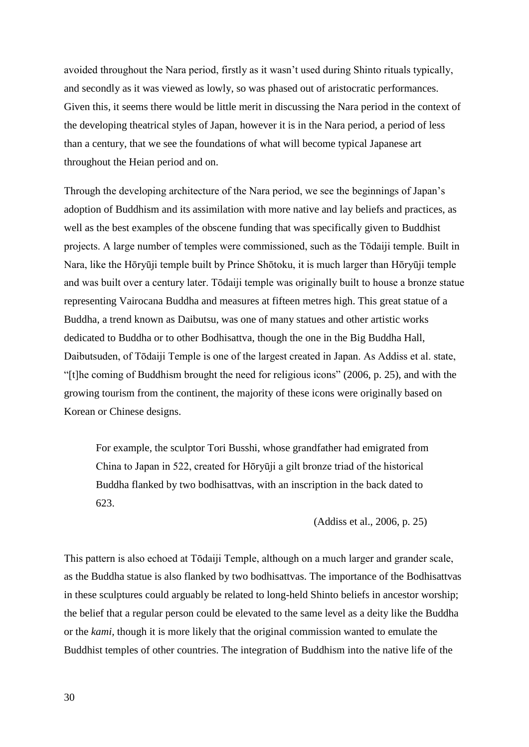avoided throughout the Nara period, firstly as it wasn't used during Shinto rituals typically, and secondly as it was viewed as lowly, so was phased out of aristocratic performances. Given this, it seems there would be little merit in discussing the Nara period in the context of the developing theatrical styles of Japan, however it is in the Nara period, a period of less than a century, that we see the foundations of what will become typical Japanese art throughout the Heian period and on.

Through the developing architecture of the Nara period, we see the beginnings of Japan's adoption of Buddhism and its assimilation with more native and lay beliefs and practices, as well as the best examples of the obscene funding that was specifically given to Buddhist projects. A large number of temples were commissioned, such as the Tōdaiji temple. Built in Nara, like the Hōryūji temple built by Prince Shōtoku, it is much larger than Hōryūji temple and was built over a century later. Tōdaiji temple was originally built to house a bronze statue representing Vairocana Buddha and measures at fifteen metres high. This great statue of a Buddha, a trend known as Daibutsu, was one of many statues and other artistic works dedicated to Buddha or to other Bodhisattva, though the one in the Big Buddha Hall, Daibutsuden, of Tōdaiji Temple is one of the largest created in Japan. As Addiss et al. state, "[t]he coming of Buddhism brought the need for religious icons" (2006, p. 25), and with the growing tourism from the continent, the majority of these icons were originally based on Korean or Chinese designs.

For example, the sculptor Tori Busshi, whose grandfather had emigrated from China to Japan in 522, created for Hōryūji a gilt bronze triad of the historical Buddha flanked by two bodhisattvas, with an inscription in the back dated to 623.

(Addiss et al., 2006, p. 25)

This pattern is also echoed at Tōdaiji Temple, although on a much larger and grander scale, as the Buddha statue is also flanked by two bodhisattvas. The importance of the Bodhisattvas in these sculptures could arguably be related to long-held Shinto beliefs in ancestor worship; the belief that a regular person could be elevated to the same level as a deity like the Buddha or the *kami,* though it is more likely that the original commission wanted to emulate the Buddhist temples of other countries. The integration of Buddhism into the native life of the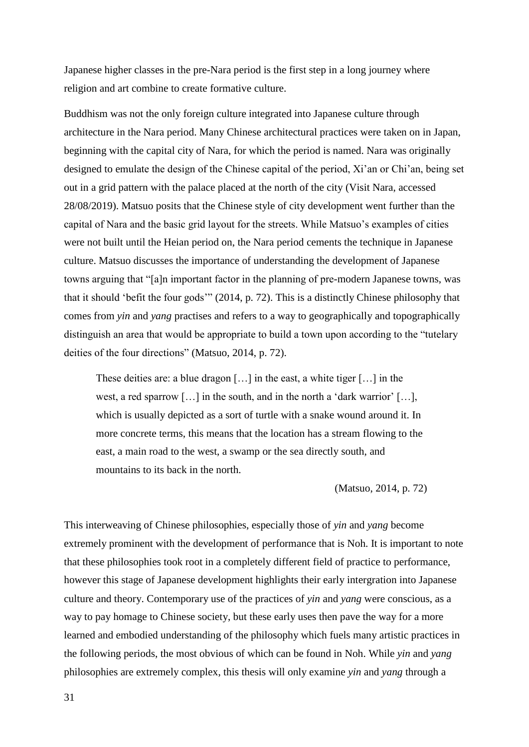Japanese higher classes in the pre-Nara period is the first step in a long journey where religion and art combine to create formative culture.

Buddhism was not the only foreign culture integrated into Japanese culture through architecture in the Nara period. Many Chinese architectural practices were taken on in Japan, beginning with the capital city of Nara, for which the period is named. Nara was originally designed to emulate the design of the Chinese capital of the period, Xi'an or Chi'an, being set out in a grid pattern with the palace placed at the north of the city (Visit Nara, accessed 28/08/2019). Matsuo posits that the Chinese style of city development went further than the capital of Nara and the basic grid layout for the streets. While Matsuo's examples of cities were not built until the Heian period on, the Nara period cements the technique in Japanese culture. Matsuo discusses the importance of understanding the development of Japanese towns arguing that "[a]n important factor in the planning of pre-modern Japanese towns, was that it should 'befit the four gods'" (2014, p. 72). This is a distinctly Chinese philosophy that comes from *yin* and *yang* practises and refers to a way to geographically and topographically distinguish an area that would be appropriate to build a town upon according to the "tutelary deities of the four directions" (Matsuo, 2014, p. 72).

These deities are: a blue dragon […] in the east, a white tiger […] in the west, a red sparrow […] in the south, and in the north a 'dark warrior' […], which is usually depicted as a sort of turtle with a snake wound around it. In more concrete terms, this means that the location has a stream flowing to the east, a main road to the west, a swamp or the sea directly south, and mountains to its back in the north.

(Matsuo, 2014, p. 72)

This interweaving of Chinese philosophies, especially those of *yin* and *yang* become extremely prominent with the development of performance that is Noh. It is important to note that these philosophies took root in a completely different field of practice to performance, however this stage of Japanese development highlights their early intergration into Japanese culture and theory. Contemporary use of the practices of *yin* and *yang* were conscious, as a way to pay homage to Chinese society, but these early uses then pave the way for a more learned and embodied understanding of the philosophy which fuels many artistic practices in the following periods, the most obvious of which can be found in Noh. While *yin* and *yang*  philosophies are extremely complex, this thesis will only examine *yin* and *yang* through a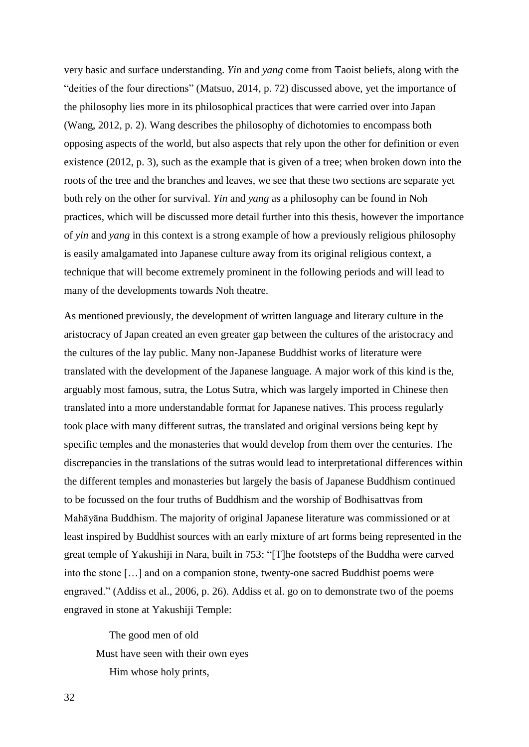very basic and surface understanding. *Yin* and *yang* come from Taoist beliefs, along with the "deities of the four directions" (Matsuo, 2014, p. 72) discussed above, yet the importance of the philosophy lies more in its philosophical practices that were carried over into Japan (Wang, 2012, p. 2). Wang describes the philosophy of dichotomies to encompass both opposing aspects of the world, but also aspects that rely upon the other for definition or even existence (2012, p. 3), such as the example that is given of a tree; when broken down into the roots of the tree and the branches and leaves, we see that these two sections are separate yet both rely on the other for survival. *Yin* and *yang* as a philosophy can be found in Noh practices, which will be discussed more detail further into this thesis, however the importance of *yin* and *yang* in this context is a strong example of how a previously religious philosophy is easily amalgamated into Japanese culture away from its original religious context, a technique that will become extremely prominent in the following periods and will lead to many of the developments towards Noh theatre.

As mentioned previously, the development of written language and literary culture in the aristocracy of Japan created an even greater gap between the cultures of the aristocracy and the cultures of the lay public. Many non-Japanese Buddhist works of literature were translated with the development of the Japanese language. A major work of this kind is the, arguably most famous, sutra, the Lotus Sutra, which was largely imported in Chinese then translated into a more understandable format for Japanese natives. This process regularly took place with many different sutras, the translated and original versions being kept by specific temples and the monasteries that would develop from them over the centuries. The discrepancies in the translations of the sutras would lead to interpretational differences within the different temples and monasteries but largely the basis of Japanese Buddhism continued to be focussed on the four truths of Buddhism and the worship of Bodhisattvas from Mahāyāna Buddhism. The majority of original Japanese literature was commissioned or at least inspired by Buddhist sources with an early mixture of art forms being represented in the great temple of Yakushiji in Nara, built in 753: "[T]he footsteps of the Buddha were carved into the stone […] and on a companion stone, twenty-one sacred Buddhist poems were engraved." (Addiss et al., 2006, p. 26). Addiss et al. go on to demonstrate two of the poems engraved in stone at Yakushiji Temple:

 The good men of old Must have seen with their own eyes Him whose holy prints,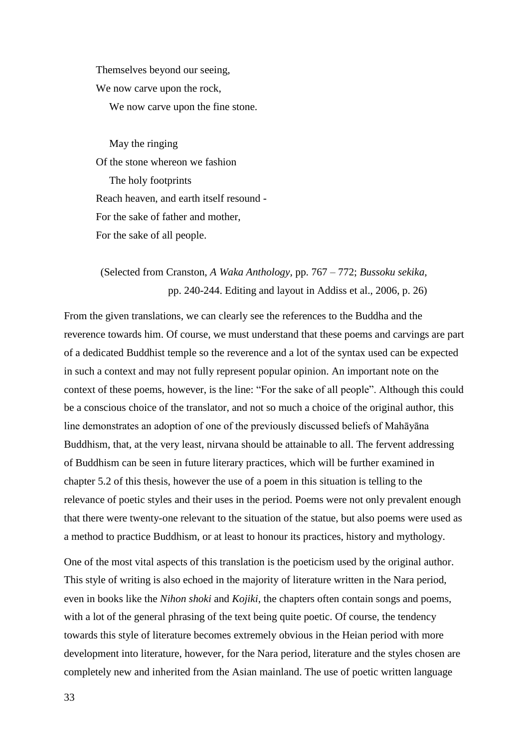Themselves beyond our seeing, We now carve upon the rock, We now carve upon the fine stone.

 May the ringing Of the stone whereon we fashion The holy footprints Reach heaven, and earth itself resound - For the sake of father and mother, For the sake of all people.

## (Selected from Cranston, *A Waka Anthology,* pp. 767 – 772; *Bussoku sekika,*  pp. 240-244. Editing and layout in Addiss et al., 2006, p. 26)

From the given translations, we can clearly see the references to the Buddha and the reverence towards him. Of course, we must understand that these poems and carvings are part of a dedicated Buddhist temple so the reverence and a lot of the syntax used can be expected in such a context and may not fully represent popular opinion. An important note on the context of these poems, however, is the line: "For the sake of all people". Although this could be a conscious choice of the translator, and not so much a choice of the original author, this line demonstrates an adoption of one of the previously discussed beliefs of Mahāyāna Buddhism, that, at the very least, nirvana should be attainable to all. The fervent addressing of Buddhism can be seen in future literary practices, which will be further examined in chapter 5.2 of this thesis, however the use of a poem in this situation is telling to the relevance of poetic styles and their uses in the period. Poems were not only prevalent enough that there were twenty-one relevant to the situation of the statue, but also poems were used as a method to practice Buddhism, or at least to honour its practices, history and mythology.

One of the most vital aspects of this translation is the poeticism used by the original author. This style of writing is also echoed in the majority of literature written in the Nara period, even in books like the *Nihon shoki* and *Kojiki*, the chapters often contain songs and poems, with a lot of the general phrasing of the text being quite poetic. Of course, the tendency towards this style of literature becomes extremely obvious in the Heian period with more development into literature, however, for the Nara period, literature and the styles chosen are completely new and inherited from the Asian mainland. The use of poetic written language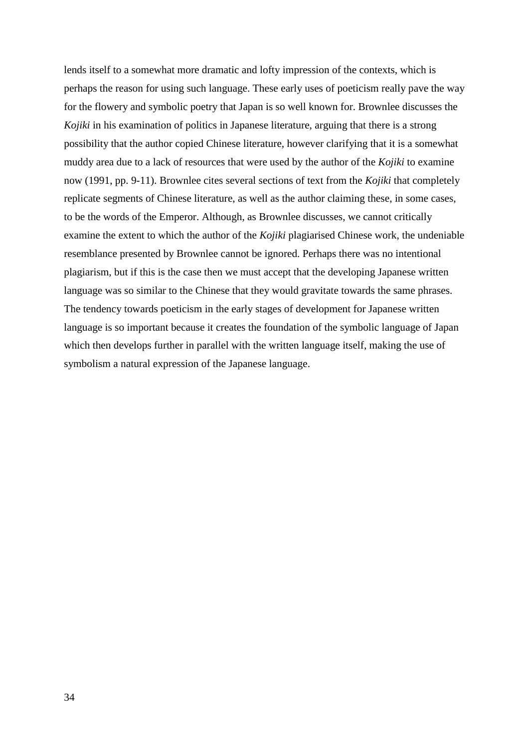lends itself to a somewhat more dramatic and lofty impression of the contexts, which is perhaps the reason for using such language. These early uses of poeticism really pave the way for the flowery and symbolic poetry that Japan is so well known for. Brownlee discusses the *Kojiki* in his examination of politics in Japanese literature, arguing that there is a strong possibility that the author copied Chinese literature, however clarifying that it is a somewhat muddy area due to a lack of resources that were used by the author of the *Kojiki* to examine now (1991, pp. 9-11). Brownlee cites several sections of text from the *Kojiki* that completely replicate segments of Chinese literature, as well as the author claiming these, in some cases, to be the words of the Emperor. Although, as Brownlee discusses, we cannot critically examine the extent to which the author of the *Kojiki* plagiarised Chinese work, the undeniable resemblance presented by Brownlee cannot be ignored. Perhaps there was no intentional plagiarism, but if this is the case then we must accept that the developing Japanese written language was so similar to the Chinese that they would gravitate towards the same phrases. The tendency towards poeticism in the early stages of development for Japanese written language is so important because it creates the foundation of the symbolic language of Japan which then develops further in parallel with the written language itself, making the use of symbolism a natural expression of the Japanese language.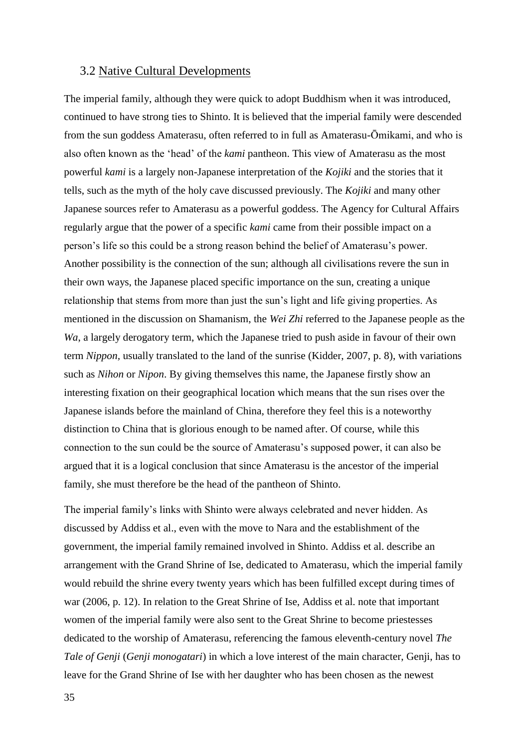#### <span id="page-35-0"></span>3.2 Native Cultural Developments

The imperial family, although they were quick to adopt Buddhism when it was introduced, continued to have strong ties to Shinto. It is believed that the imperial family were descended from the sun goddess Amaterasu, often referred to in full as Amaterasu-Ōmikami, and who is also often known as the 'head' of the *kami* pantheon. This view of Amaterasu as the most powerful *kami* is a largely non-Japanese interpretation of the *Kojiki* and the stories that it tells, such as the myth of the holy cave discussed previously. The *Kojiki* and many other Japanese sources refer to Amaterasu as a powerful goddess. The Agency for Cultural Affairs regularly argue that the power of a specific *kami* came from their possible impact on a person's life so this could be a strong reason behind the belief of Amaterasu's power. Another possibility is the connection of the sun; although all civilisations revere the sun in their own ways, the Japanese placed specific importance on the sun, creating a unique relationship that stems from more than just the sun's light and life giving properties. As mentioned in the discussion on Shamanism, the *Wei Zhi* referred to the Japanese people as the *Wa*, a largely derogatory term, which the Japanese tried to push aside in favour of their own term *Nippon,* usually translated to the land of the sunrise (Kidder, 2007, p. 8), with variations such as *Nihon* or *Nipon*. By giving themselves this name, the Japanese firstly show an interesting fixation on their geographical location which means that the sun rises over the Japanese islands before the mainland of China, therefore they feel this is a noteworthy distinction to China that is glorious enough to be named after. Of course, while this connection to the sun could be the source of Amaterasu's supposed power, it can also be argued that it is a logical conclusion that since Amaterasu is the ancestor of the imperial family, she must therefore be the head of the pantheon of Shinto.

The imperial family's links with Shinto were always celebrated and never hidden. As discussed by Addiss et al., even with the move to Nara and the establishment of the government, the imperial family remained involved in Shinto. Addiss et al. describe an arrangement with the Grand Shrine of Ise, dedicated to Amaterasu, which the imperial family would rebuild the shrine every twenty years which has been fulfilled except during times of war (2006, p. 12). In relation to the Great Shrine of Ise, Addiss et al. note that important women of the imperial family were also sent to the Great Shrine to become priestesses dedicated to the worship of Amaterasu, referencing the famous eleventh-century novel *The Tale of Genji* (*Genji monogatari*) in which a love interest of the main character, Genji, has to leave for the Grand Shrine of Ise with her daughter who has been chosen as the newest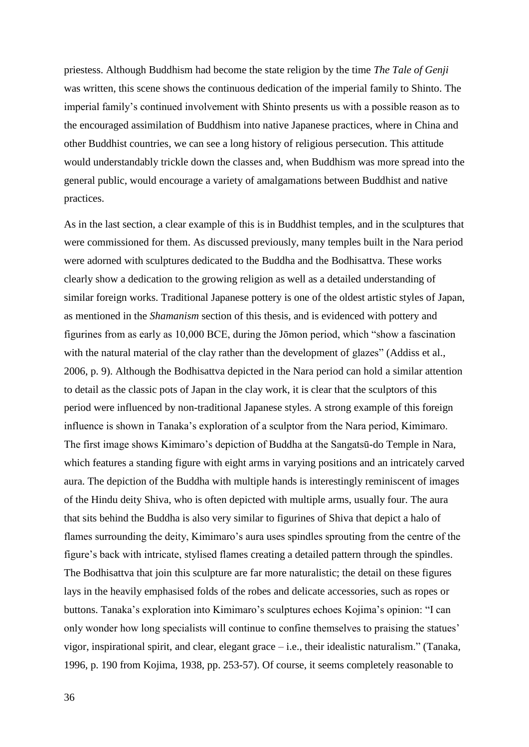priestess. Although Buddhism had become the state religion by the time *The Tale of Genji*  was written, this scene shows the continuous dedication of the imperial family to Shinto. The imperial family's continued involvement with Shinto presents us with a possible reason as to the encouraged assimilation of Buddhism into native Japanese practices, where in China and other Buddhist countries, we can see a long history of religious persecution. This attitude would understandably trickle down the classes and, when Buddhism was more spread into the general public, would encourage a variety of amalgamations between Buddhist and native practices.

As in the last section, a clear example of this is in Buddhist temples, and in the sculptures that were commissioned for them. As discussed previously, many temples built in the Nara period were adorned with sculptures dedicated to the Buddha and the Bodhisattva. These works clearly show a dedication to the growing religion as well as a detailed understanding of similar foreign works. Traditional Japanese pottery is one of the oldest artistic styles of Japan, as mentioned in the *Shamanism* section of this thesis, and is evidenced with pottery and figurines from as early as 10,000 BCE, during the Jōmon period, which "show a fascination with the natural material of the clay rather than the development of glazes" (Addiss et al., 2006, p. 9). Although the Bodhisattva depicted in the Nara period can hold a similar attention to detail as the classic pots of Japan in the clay work, it is clear that the sculptors of this period were influenced by non-traditional Japanese styles. A strong example of this foreign influence is shown in Tanaka's exploration of a sculptor from the Nara period, Kimimaro. The first image shows Kimimaro's depiction of Buddha at the Sangatsū-do Temple in Nara, which features a standing figure with eight arms in varying positions and an intricately carved aura. The depiction of the Buddha with multiple hands is interestingly reminiscent of images of the Hindu deity Shiva, who is often depicted with multiple arms, usually four. The aura that sits behind the Buddha is also very similar to figurines of Shiva that depict a halo of flames surrounding the deity, Kimimaro's aura uses spindles sprouting from the centre of the figure's back with intricate, stylised flames creating a detailed pattern through the spindles. The Bodhisattva that join this sculpture are far more naturalistic; the detail on these figures lays in the heavily emphasised folds of the robes and delicate accessories, such as ropes or buttons. Tanaka's exploration into Kimimaro's sculptures echoes Kojima's opinion: "I can only wonder how long specialists will continue to confine themselves to praising the statues' vigor, inspirational spirit, and clear, elegant grace – i.e., their idealistic naturalism." (Tanaka, 1996, p. 190 from Kojima, 1938, pp. 253-57). Of course, it seems completely reasonable to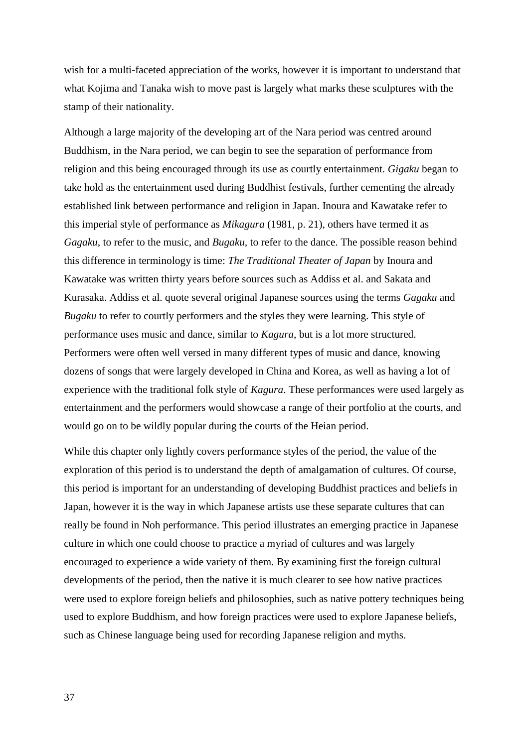wish for a multi-faceted appreciation of the works, however it is important to understand that what Kojima and Tanaka wish to move past is largely what marks these sculptures with the stamp of their nationality.

Although a large majority of the developing art of the Nara period was centred around Buddhism, in the Nara period, we can begin to see the separation of performance from religion and this being encouraged through its use as courtly entertainment. *Gigaku* began to take hold as the entertainment used during Buddhist festivals, further cementing the already established link between performance and religion in Japan. Inoura and Kawatake refer to this imperial style of performance as *Mikagura* (1981, p. 21), others have termed it as *Gagaku*, to refer to the music, and *Bugaku,* to refer to the dance. The possible reason behind this difference in terminology is time: *The Traditional Theater of Japan* by Inoura and Kawatake was written thirty years before sources such as Addiss et al. and Sakata and Kurasaka. Addiss et al. quote several original Japanese sources using the terms *Gagaku* and *Bugaku* to refer to courtly performers and the styles they were learning. This style of performance uses music and dance, similar to *Kagura*, but is a lot more structured. Performers were often well versed in many different types of music and dance, knowing dozens of songs that were largely developed in China and Korea, as well as having a lot of experience with the traditional folk style of *Kagura*. These performances were used largely as entertainment and the performers would showcase a range of their portfolio at the courts, and would go on to be wildly popular during the courts of the Heian period.

While this chapter only lightly covers performance styles of the period, the value of the exploration of this period is to understand the depth of amalgamation of cultures. Of course, this period is important for an understanding of developing Buddhist practices and beliefs in Japan, however it is the way in which Japanese artists use these separate cultures that can really be found in Noh performance. This period illustrates an emerging practice in Japanese culture in which one could choose to practice a myriad of cultures and was largely encouraged to experience a wide variety of them. By examining first the foreign cultural developments of the period, then the native it is much clearer to see how native practices were used to explore foreign beliefs and philosophies, such as native pottery techniques being used to explore Buddhism, and how foreign practices were used to explore Japanese beliefs, such as Chinese language being used for recording Japanese religion and myths.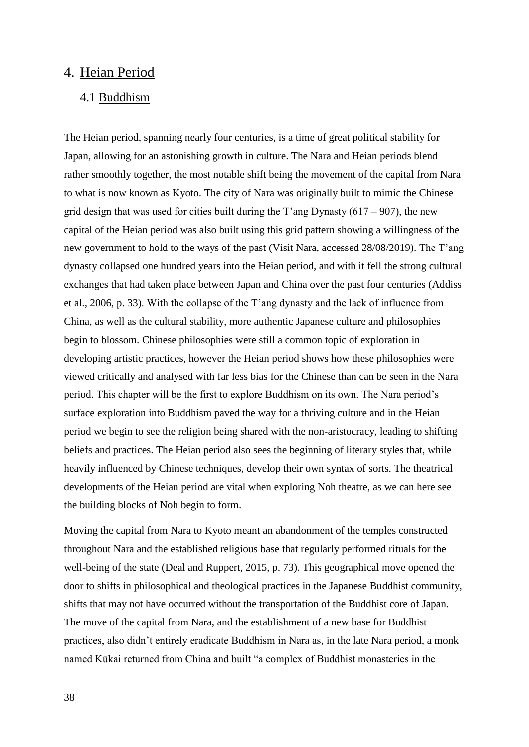## <span id="page-38-0"></span>4. Heian Period

## <span id="page-38-1"></span>4.1 Buddhism

The Heian period, spanning nearly four centuries, is a time of great political stability for Japan, allowing for an astonishing growth in culture. The Nara and Heian periods blend rather smoothly together, the most notable shift being the movement of the capital from Nara to what is now known as Kyoto. The city of Nara was originally built to mimic the Chinese grid design that was used for cities built during the T'ang Dynasty (617 – 907), the new capital of the Heian period was also built using this grid pattern showing a willingness of the new government to hold to the ways of the past (Visit Nara, accessed 28/08/2019). The T'ang dynasty collapsed one hundred years into the Heian period, and with it fell the strong cultural exchanges that had taken place between Japan and China over the past four centuries (Addiss et al., 2006, p. 33). With the collapse of the T'ang dynasty and the lack of influence from China, as well as the cultural stability, more authentic Japanese culture and philosophies begin to blossom. Chinese philosophies were still a common topic of exploration in developing artistic practices, however the Heian period shows how these philosophies were viewed critically and analysed with far less bias for the Chinese than can be seen in the Nara period. This chapter will be the first to explore Buddhism on its own. The Nara period's surface exploration into Buddhism paved the way for a thriving culture and in the Heian period we begin to see the religion being shared with the non-aristocracy, leading to shifting beliefs and practices. The Heian period also sees the beginning of literary styles that, while heavily influenced by Chinese techniques, develop their own syntax of sorts. The theatrical developments of the Heian period are vital when exploring Noh theatre, as we can here see the building blocks of Noh begin to form.

Moving the capital from Nara to Kyoto meant an abandonment of the temples constructed throughout Nara and the established religious base that regularly performed rituals for the well-being of the state (Deal and Ruppert, 2015, p. 73). This geographical move opened the door to shifts in philosophical and theological practices in the Japanese Buddhist community, shifts that may not have occurred without the transportation of the Buddhist core of Japan. The move of the capital from Nara, and the establishment of a new base for Buddhist practices, also didn't entirely eradicate Buddhism in Nara as, in the late Nara period, a monk named Kūkai returned from China and built "a complex of Buddhist monasteries in the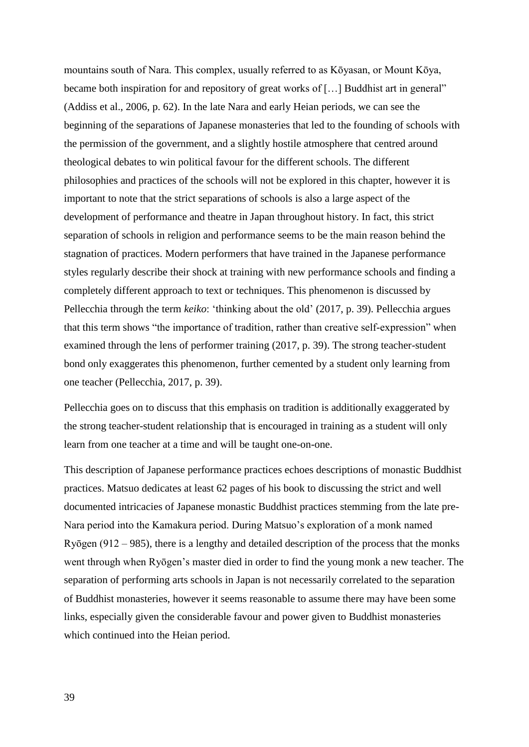mountains south of Nara. This complex, usually referred to as Kōyasan, or Mount Kōya, became both inspiration for and repository of great works of [...] Buddhist art in general" (Addiss et al., 2006, p. 62). In the late Nara and early Heian periods, we can see the beginning of the separations of Japanese monasteries that led to the founding of schools with the permission of the government, and a slightly hostile atmosphere that centred around theological debates to win political favour for the different schools. The different philosophies and practices of the schools will not be explored in this chapter, however it is important to note that the strict separations of schools is also a large aspect of the development of performance and theatre in Japan throughout history. In fact, this strict separation of schools in religion and performance seems to be the main reason behind the stagnation of practices. Modern performers that have trained in the Japanese performance styles regularly describe their shock at training with new performance schools and finding a completely different approach to text or techniques. This phenomenon is discussed by Pellecchia through the term *keiko*: 'thinking about the old' (2017, p. 39). Pellecchia argues that this term shows "the importance of tradition, rather than creative self-expression" when examined through the lens of performer training (2017, p. 39). The strong teacher-student bond only exaggerates this phenomenon, further cemented by a student only learning from one teacher (Pellecchia, 2017, p. 39).

Pellecchia goes on to discuss that this emphasis on tradition is additionally exaggerated by the strong teacher-student relationship that is encouraged in training as a student will only learn from one teacher at a time and will be taught one-on-one.

This description of Japanese performance practices echoes descriptions of monastic Buddhist practices. Matsuo dedicates at least 62 pages of his book to discussing the strict and well documented intricacies of Japanese monastic Buddhist practices stemming from the late pre-Nara period into the Kamakura period. During Matsuo's exploration of a monk named Ryōgen (912 – 985), there is a lengthy and detailed description of the process that the monks went through when Ryōgen's master died in order to find the young monk a new teacher. The separation of performing arts schools in Japan is not necessarily correlated to the separation of Buddhist monasteries, however it seems reasonable to assume there may have been some links, especially given the considerable favour and power given to Buddhist monasteries which continued into the Heian period.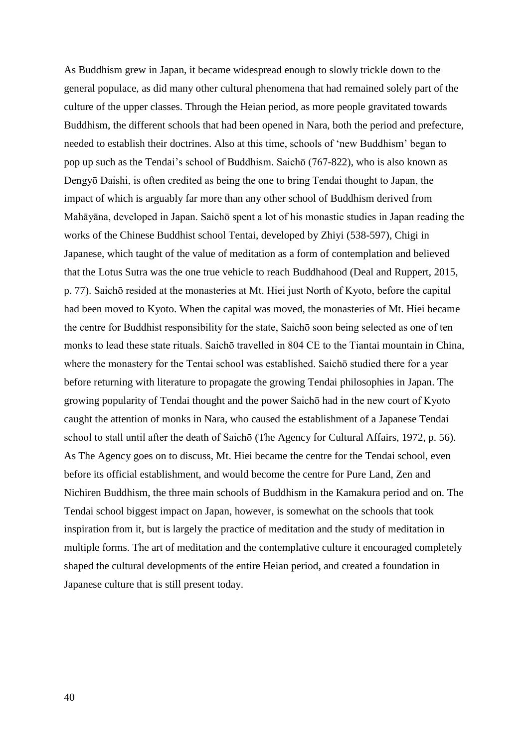As Buddhism grew in Japan, it became widespread enough to slowly trickle down to the general populace, as did many other cultural phenomena that had remained solely part of the culture of the upper classes. Through the Heian period, as more people gravitated towards Buddhism, the different schools that had been opened in Nara, both the period and prefecture, needed to establish their doctrines. Also at this time, schools of 'new Buddhism' began to pop up such as the Tendai's school of Buddhism. Saichō (767-822), who is also known as Dengyō Daishi, is often credited as being the one to bring Tendai thought to Japan, the impact of which is arguably far more than any other school of Buddhism derived from Mahāyāna, developed in Japan. Saichō spent a lot of his monastic studies in Japan reading the works of the Chinese Buddhist school Tentai, developed by Zhiyi (538-597), Chigi in Japanese, which taught of the value of meditation as a form of contemplation and believed that the Lotus Sutra was the one true vehicle to reach Buddhahood (Deal and Ruppert, 2015, p. 77). Saichō resided at the monasteries at Mt. Hiei just North of Kyoto, before the capital had been moved to Kyoto. When the capital was moved, the monasteries of Mt. Hiei became the centre for Buddhist responsibility for the state, Saichō soon being selected as one of ten monks to lead these state rituals. Saichō travelled in 804 CE to the Tiantai mountain in China, where the monastery for the Tentai school was established. Saichō studied there for a year before returning with literature to propagate the growing Tendai philosophies in Japan. The growing popularity of Tendai thought and the power Saichō had in the new court of Kyoto caught the attention of monks in Nara, who caused the establishment of a Japanese Tendai school to stall until after the death of Saichō (The Agency for Cultural Affairs, 1972, p. 56). As The Agency goes on to discuss, Mt. Hiei became the centre for the Tendai school, even before its official establishment, and would become the centre for Pure Land, Zen and Nichiren Buddhism, the three main schools of Buddhism in the Kamakura period and on. The Tendai school biggest impact on Japan, however, is somewhat on the schools that took inspiration from it, but is largely the practice of meditation and the study of meditation in multiple forms. The art of meditation and the contemplative culture it encouraged completely shaped the cultural developments of the entire Heian period, and created a foundation in Japanese culture that is still present today.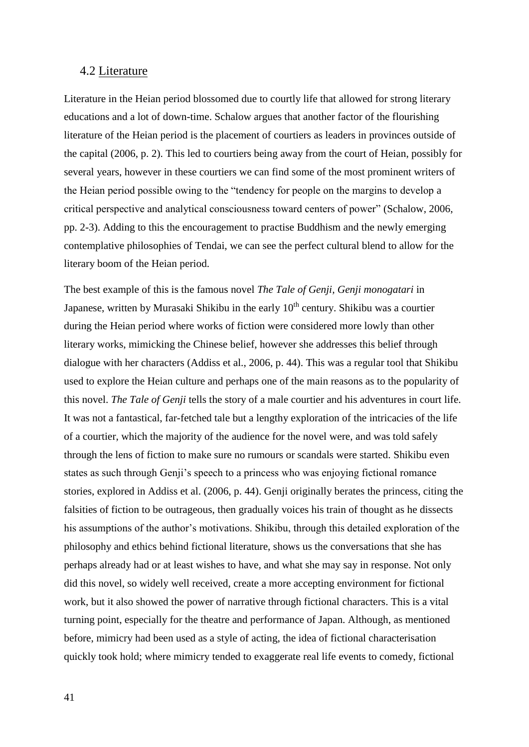#### <span id="page-41-0"></span>4.2 Literature

Literature in the Heian period blossomed due to courtly life that allowed for strong literary educations and a lot of down-time. Schalow argues that another factor of the flourishing literature of the Heian period is the placement of courtiers as leaders in provinces outside of the capital (2006, p. 2). This led to courtiers being away from the court of Heian, possibly for several years, however in these courtiers we can find some of the most prominent writers of the Heian period possible owing to the "tendency for people on the margins to develop a critical perspective and analytical consciousness toward centers of power" (Schalow, 2006, pp. 2-3). Adding to this the encouragement to practise Buddhism and the newly emerging contemplative philosophies of Tendai, we can see the perfect cultural blend to allow for the literary boom of the Heian period.

The best example of this is the famous novel *The Tale of Genji, Genji monogatari* in Japanese, written by Murasaki Shikibu in the early  $10<sup>th</sup>$  century. Shikibu was a courtier during the Heian period where works of fiction were considered more lowly than other literary works, mimicking the Chinese belief, however she addresses this belief through dialogue with her characters (Addiss et al., 2006, p. 44). This was a regular tool that Shikibu used to explore the Heian culture and perhaps one of the main reasons as to the popularity of this novel. *The Tale of Genji* tells the story of a male courtier and his adventures in court life. It was not a fantastical, far-fetched tale but a lengthy exploration of the intricacies of the life of a courtier, which the majority of the audience for the novel were, and was told safely through the lens of fiction to make sure no rumours or scandals were started. Shikibu even states as such through Genji's speech to a princess who was enjoying fictional romance stories, explored in Addiss et al. (2006, p. 44). Genji originally berates the princess, citing the falsities of fiction to be outrageous, then gradually voices his train of thought as he dissects his assumptions of the author's motivations. Shikibu, through this detailed exploration of the philosophy and ethics behind fictional literature, shows us the conversations that she has perhaps already had or at least wishes to have, and what she may say in response. Not only did this novel, so widely well received, create a more accepting environment for fictional work, but it also showed the power of narrative through fictional characters. This is a vital turning point, especially for the theatre and performance of Japan. Although, as mentioned before, mimicry had been used as a style of acting, the idea of fictional characterisation quickly took hold; where mimicry tended to exaggerate real life events to comedy, fictional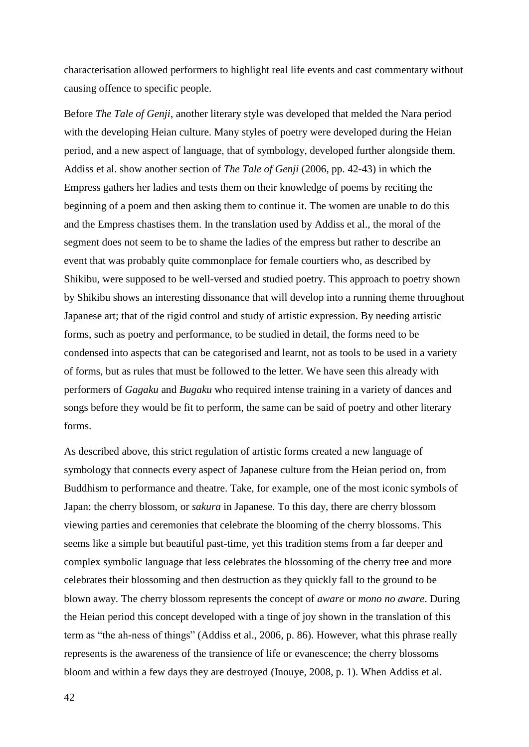characterisation allowed performers to highlight real life events and cast commentary without causing offence to specific people.

Before *The Tale of Genji*, another literary style was developed that melded the Nara period with the developing Heian culture. Many styles of poetry were developed during the Heian period, and a new aspect of language, that of symbology, developed further alongside them. Addiss et al. show another section of *The Tale of Genji* (2006, pp. 42-43) in which the Empress gathers her ladies and tests them on their knowledge of poems by reciting the beginning of a poem and then asking them to continue it. The women are unable to do this and the Empress chastises them. In the translation used by Addiss et al., the moral of the segment does not seem to be to shame the ladies of the empress but rather to describe an event that was probably quite commonplace for female courtiers who, as described by Shikibu, were supposed to be well-versed and studied poetry. This approach to poetry shown by Shikibu shows an interesting dissonance that will develop into a running theme throughout Japanese art; that of the rigid control and study of artistic expression. By needing artistic forms, such as poetry and performance, to be studied in detail, the forms need to be condensed into aspects that can be categorised and learnt, not as tools to be used in a variety of forms, but as rules that must be followed to the letter. We have seen this already with performers of *Gagaku* and *Bugaku* who required intense training in a variety of dances and songs before they would be fit to perform, the same can be said of poetry and other literary forms.

As described above, this strict regulation of artistic forms created a new language of symbology that connects every aspect of Japanese culture from the Heian period on, from Buddhism to performance and theatre. Take, for example, one of the most iconic symbols of Japan: the cherry blossom, or *sakura* in Japanese. To this day, there are cherry blossom viewing parties and ceremonies that celebrate the blooming of the cherry blossoms. This seems like a simple but beautiful past-time, yet this tradition stems from a far deeper and complex symbolic language that less celebrates the blossoming of the cherry tree and more celebrates their blossoming and then destruction as they quickly fall to the ground to be blown away. The cherry blossom represents the concept of *aware* or *mono no aware*. During the Heian period this concept developed with a tinge of joy shown in the translation of this term as "the ah-ness of things" (Addiss et al., 2006, p. 86). However, what this phrase really represents is the awareness of the transience of life or evanescence; the cherry blossoms bloom and within a few days they are destroyed (Inouye, 2008, p. 1). When Addiss et al.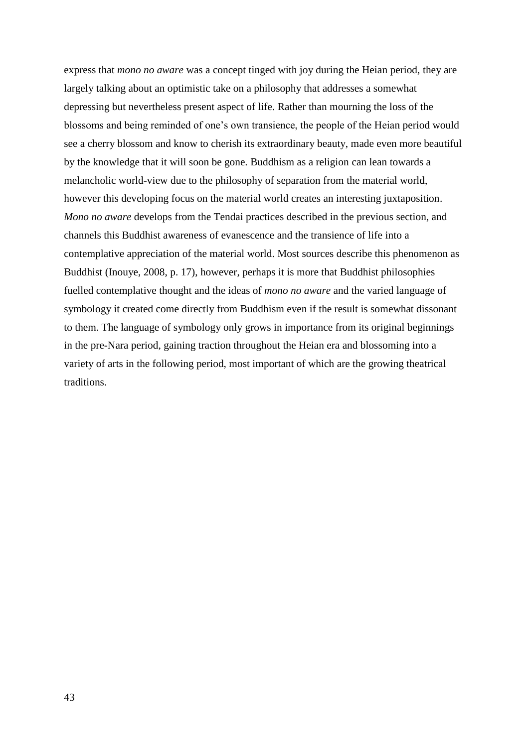express that *mono no aware* was a concept tinged with joy during the Heian period, they are largely talking about an optimistic take on a philosophy that addresses a somewhat depressing but nevertheless present aspect of life. Rather than mourning the loss of the blossoms and being reminded of one's own transience, the people of the Heian period would see a cherry blossom and know to cherish its extraordinary beauty, made even more beautiful by the knowledge that it will soon be gone. Buddhism as a religion can lean towards a melancholic world-view due to the philosophy of separation from the material world, however this developing focus on the material world creates an interesting juxtaposition. *Mono no aware* develops from the Tendai practices described in the previous section, and channels this Buddhist awareness of evanescence and the transience of life into a contemplative appreciation of the material world. Most sources describe this phenomenon as Buddhist (Inouye, 2008, p. 17), however, perhaps it is more that Buddhist philosophies fuelled contemplative thought and the ideas of *mono no aware* and the varied language of symbology it created come directly from Buddhism even if the result is somewhat dissonant to them. The language of symbology only grows in importance from its original beginnings in the pre-Nara period, gaining traction throughout the Heian era and blossoming into a variety of arts in the following period, most important of which are the growing theatrical traditions.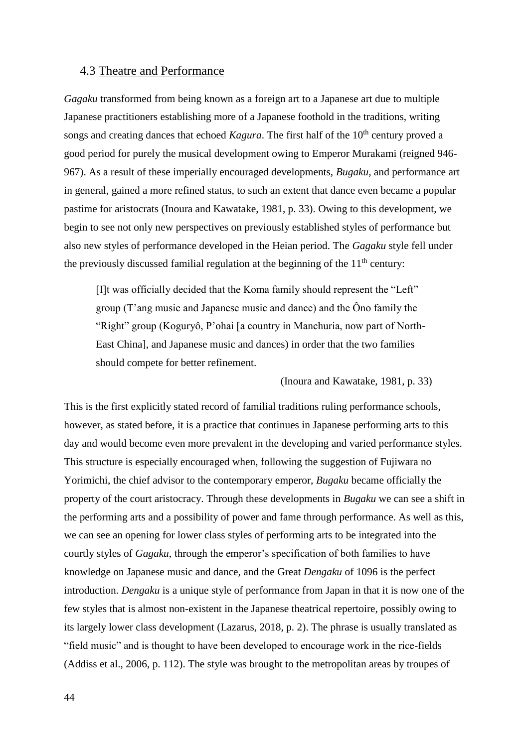#### <span id="page-44-0"></span>4.3 Theatre and Performance

*Gagaku* transformed from being known as a foreign art to a Japanese art due to multiple Japanese practitioners establishing more of a Japanese foothold in the traditions, writing songs and creating dances that echoed *Kagura*. The first half of the 10<sup>th</sup> century proved a good period for purely the musical development owing to Emperor Murakami (reigned 946- 967). As a result of these imperially encouraged developments, *Bugaku,* and performance art in general, gained a more refined status, to such an extent that dance even became a popular pastime for aristocrats (Inoura and Kawatake, 1981, p. 33). Owing to this development, we begin to see not only new perspectives on previously established styles of performance but also new styles of performance developed in the Heian period. The *Gagaku* style fell under the previously discussed familial regulation at the beginning of the  $11<sup>th</sup>$  century:

[I]t was officially decided that the Koma family should represent the "Left" group (T'ang music and Japanese music and dance) and the Ôno family the "Right" group (Koguryô, P'ohai [a country in Manchuria, now part of North-East China], and Japanese music and dances) in order that the two families should compete for better refinement.

(Inoura and Kawatake, 1981, p. 33)

This is the first explicitly stated record of familial traditions ruling performance schools, however, as stated before, it is a practice that continues in Japanese performing arts to this day and would become even more prevalent in the developing and varied performance styles. This structure is especially encouraged when, following the suggestion of Fujiwara no Yorimichi, the chief advisor to the contemporary emperor, *Bugaku* became officially the property of the court aristocracy. Through these developments in *Bugaku* we can see a shift in the performing arts and a possibility of power and fame through performance. As well as this, we can see an opening for lower class styles of performing arts to be integrated into the courtly styles of *Gagaku*, through the emperor's specification of both families to have knowledge on Japanese music and dance, and the Great *Dengaku* of 1096 is the perfect introduction. *Dengaku* is a unique style of performance from Japan in that it is now one of the few styles that is almost non-existent in the Japanese theatrical repertoire, possibly owing to its largely lower class development (Lazarus, 2018, p. 2). The phrase is usually translated as "field music" and is thought to have been developed to encourage work in the rice-fields (Addiss et al., 2006, p. 112). The style was brought to the metropolitan areas by troupes of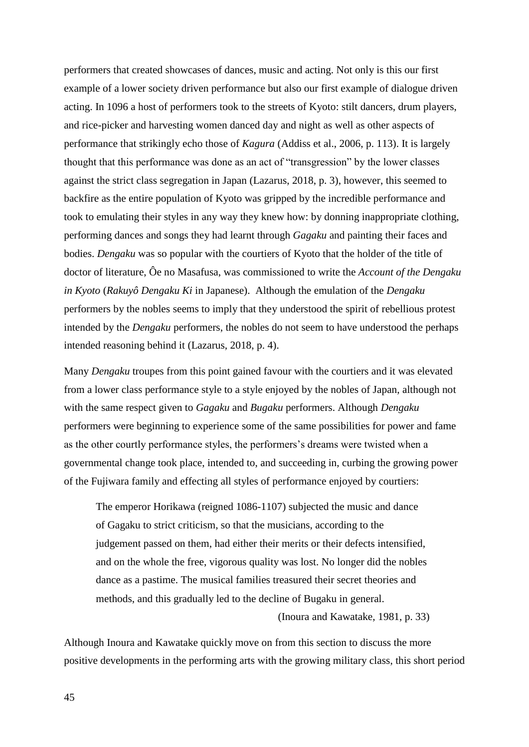performers that created showcases of dances, music and acting. Not only is this our first example of a lower society driven performance but also our first example of dialogue driven acting. In 1096 a host of performers took to the streets of Kyoto: stilt dancers, drum players, and rice-picker and harvesting women danced day and night as well as other aspects of performance that strikingly echo those of *Kagura* (Addiss et al., 2006, p. 113). It is largely thought that this performance was done as an act of "transgression" by the lower classes against the strict class segregation in Japan (Lazarus, 2018, p. 3), however, this seemed to backfire as the entire population of Kyoto was gripped by the incredible performance and took to emulating their styles in any way they knew how: by donning inappropriate clothing, performing dances and songs they had learnt through *Gagaku* and painting their faces and bodies. *Dengaku* was so popular with the courtiers of Kyoto that the holder of the title of doctor of literature, Ôe no Masafusa, was commissioned to write the *Account of the Dengaku in Kyoto* (*Rakuyô Dengaku Ki* in Japanese). Although the emulation of the *Dengaku*  performers by the nobles seems to imply that they understood the spirit of rebellious protest intended by the *Dengaku* performers, the nobles do not seem to have understood the perhaps intended reasoning behind it (Lazarus, 2018, p. 4).

Many *Dengaku* troupes from this point gained favour with the courtiers and it was elevated from a lower class performance style to a style enjoyed by the nobles of Japan, although not with the same respect given to *Gagaku* and *Bugaku* performers. Although *Dengaku*  performers were beginning to experience some of the same possibilities for power and fame as the other courtly performance styles, the performers's dreams were twisted when a governmental change took place, intended to, and succeeding in, curbing the growing power of the Fujiwara family and effecting all styles of performance enjoyed by courtiers:

The emperor Horikawa (reigned 1086-1107) subjected the music and dance of Gagaku to strict criticism, so that the musicians, according to the judgement passed on them, had either their merits or their defects intensified, and on the whole the free, vigorous quality was lost. No longer did the nobles dance as a pastime. The musical families treasured their secret theories and methods, and this gradually led to the decline of Bugaku in general.

(Inoura and Kawatake, 1981, p. 33)

Although Inoura and Kawatake quickly move on from this section to discuss the more positive developments in the performing arts with the growing military class, this short period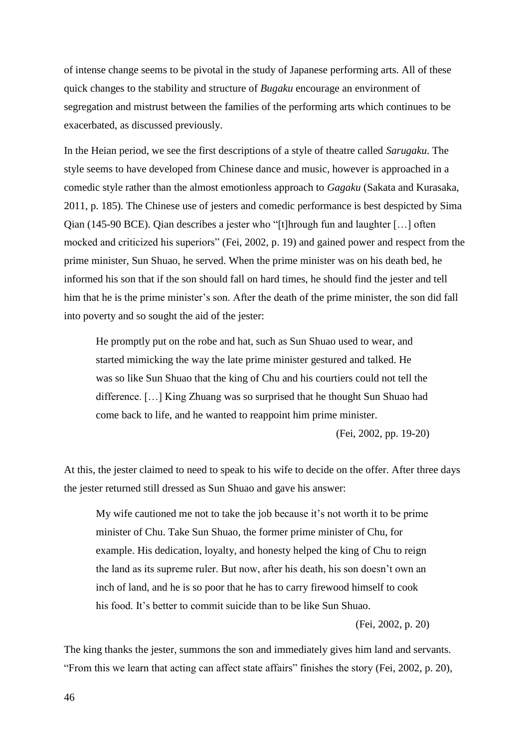of intense change seems to be pivotal in the study of Japanese performing arts. All of these quick changes to the stability and structure of *Bugaku* encourage an environment of segregation and mistrust between the families of the performing arts which continues to be exacerbated, as discussed previously.

In the Heian period, we see the first descriptions of a style of theatre called *Sarugaku*. The style seems to have developed from Chinese dance and music, however is approached in a comedic style rather than the almost emotionless approach to *Gagaku* (Sakata and Kurasaka, 2011, p. 185)*.* The Chinese use of jesters and comedic performance is best despicted by Sima Qian (145-90 BCE). Qian describes a jester who "[t]hrough fun and laughter […] often mocked and criticized his superiors" (Fei, 2002, p. 19) and gained power and respect from the prime minister, Sun Shuao, he served. When the prime minister was on his death bed, he informed his son that if the son should fall on hard times, he should find the jester and tell him that he is the prime minister's son. After the death of the prime minister, the son did fall into poverty and so sought the aid of the jester:

He promptly put on the robe and hat, such as Sun Shuao used to wear, and started mimicking the way the late prime minister gestured and talked. He was so like Sun Shuao that the king of Chu and his courtiers could not tell the difference. […] King Zhuang was so surprised that he thought Sun Shuao had come back to life, and he wanted to reappoint him prime minister.

(Fei, 2002, pp. 19-20)

At this, the jester claimed to need to speak to his wife to decide on the offer. After three days the jester returned still dressed as Sun Shuao and gave his answer:

My wife cautioned me not to take the job because it's not worth it to be prime minister of Chu. Take Sun Shuao, the former prime minister of Chu, for example. His dedication, loyalty, and honesty helped the king of Chu to reign the land as its supreme ruler. But now, after his death, his son doesn't own an inch of land, and he is so poor that he has to carry firewood himself to cook his food. It's better to commit suicide than to be like Sun Shuao.

(Fei, 2002, p. 20)

The king thanks the jester, summons the son and immediately gives him land and servants. "From this we learn that acting can affect state affairs" finishes the story (Fei, 2002, p. 20),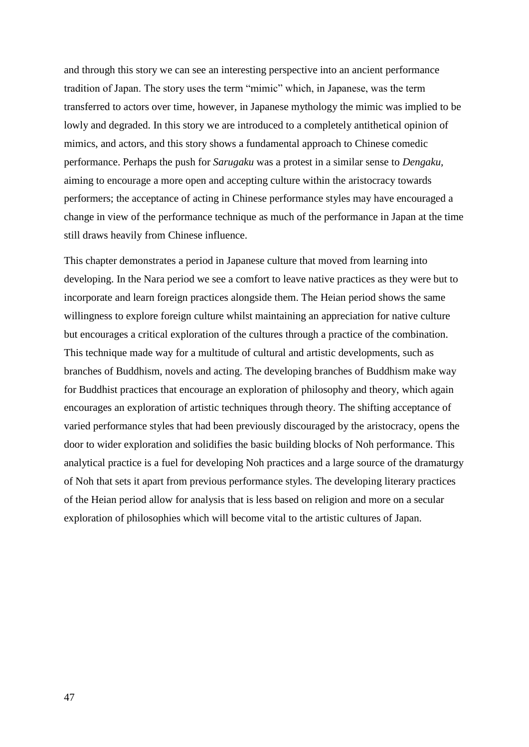and through this story we can see an interesting perspective into an ancient performance tradition of Japan. The story uses the term "mimic" which, in Japanese, was the term transferred to actors over time, however, in Japanese mythology the mimic was implied to be lowly and degraded. In this story we are introduced to a completely antithetical opinion of mimics, and actors, and this story shows a fundamental approach to Chinese comedic performance. Perhaps the push for *Sarugaku* was a protest in a similar sense to *Dengaku,*  aiming to encourage a more open and accepting culture within the aristocracy towards performers; the acceptance of acting in Chinese performance styles may have encouraged a change in view of the performance technique as much of the performance in Japan at the time still draws heavily from Chinese influence.

This chapter demonstrates a period in Japanese culture that moved from learning into developing. In the Nara period we see a comfort to leave native practices as they were but to incorporate and learn foreign practices alongside them. The Heian period shows the same willingness to explore foreign culture whilst maintaining an appreciation for native culture but encourages a critical exploration of the cultures through a practice of the combination. This technique made way for a multitude of cultural and artistic developments, such as branches of Buddhism, novels and acting. The developing branches of Buddhism make way for Buddhist practices that encourage an exploration of philosophy and theory, which again encourages an exploration of artistic techniques through theory. The shifting acceptance of varied performance styles that had been previously discouraged by the aristocracy, opens the door to wider exploration and solidifies the basic building blocks of Noh performance. This analytical practice is a fuel for developing Noh practices and a large source of the dramaturgy of Noh that sets it apart from previous performance styles. The developing literary practices of the Heian period allow for analysis that is less based on religion and more on a secular exploration of philosophies which will become vital to the artistic cultures of Japan.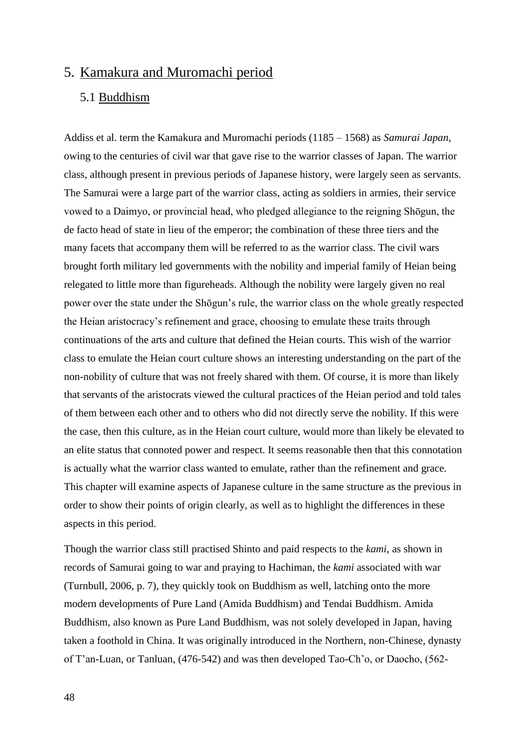## <span id="page-48-0"></span>5. Kamakura and Muromachi period

### <span id="page-48-1"></span>5.1 Buddhism

Addiss et al. term the Kamakura and Muromachi periods (1185 – 1568) as *Samurai Japan*, owing to the centuries of civil war that gave rise to the warrior classes of Japan. The warrior class, although present in previous periods of Japanese history, were largely seen as servants. The Samurai were a large part of the warrior class, acting as soldiers in armies, their service vowed to a Daimyo, or provincial head, who pledged allegiance to the reigning Shōgun, the de facto head of state in lieu of the emperor; the combination of these three tiers and the many facets that accompany them will be referred to as the warrior class. The civil wars brought forth military led governments with the nobility and imperial family of Heian being relegated to little more than figureheads. Although the nobility were largely given no real power over the state under the Shōgun's rule, the warrior class on the whole greatly respected the Heian aristocracy's refinement and grace, choosing to emulate these traits through continuations of the arts and culture that defined the Heian courts. This wish of the warrior class to emulate the Heian court culture shows an interesting understanding on the part of the non-nobility of culture that was not freely shared with them. Of course, it is more than likely that servants of the aristocrats viewed the cultural practices of the Heian period and told tales of them between each other and to others who did not directly serve the nobility. If this were the case, then this culture, as in the Heian court culture, would more than likely be elevated to an elite status that connoted power and respect. It seems reasonable then that this connotation is actually what the warrior class wanted to emulate, rather than the refinement and grace. This chapter will examine aspects of Japanese culture in the same structure as the previous in order to show their points of origin clearly, as well as to highlight the differences in these aspects in this period.

Though the warrior class still practised Shinto and paid respects to the *kami,* as shown in records of Samurai going to war and praying to Hachiman, the *kami* associated with war (Turnbull, 2006, p. 7), they quickly took on Buddhism as well, latching onto the more modern developments of Pure Land (Amida Buddhism) and Tendai Buddhism. Amida Buddhism, also known as Pure Land Buddhism, was not solely developed in Japan, having taken a foothold in China. It was originally introduced in the Northern, non-Chinese, dynasty of T'an-Luan, or Tanluan, (476-542) and was then developed Tao-Ch'o, or Daocho, (562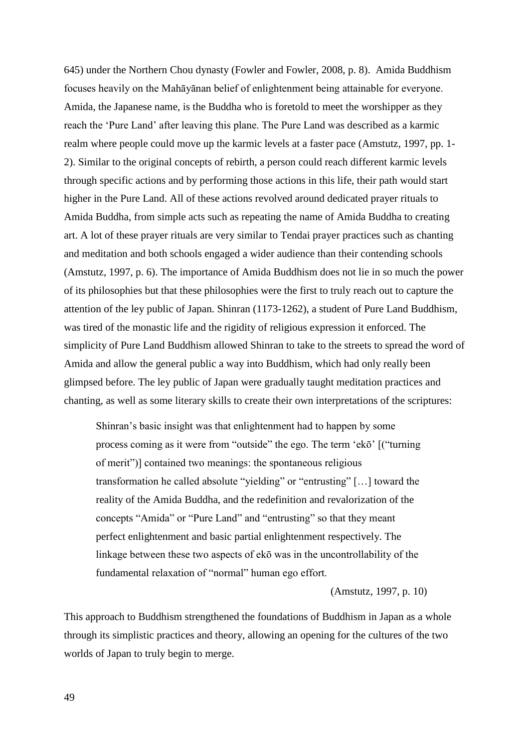645) under the Northern Chou dynasty (Fowler and Fowler, 2008, p. 8). Amida Buddhism focuses heavily on the Mahāyānan belief of enlightenment being attainable for everyone. Amida, the Japanese name, is the Buddha who is foretold to meet the worshipper as they reach the 'Pure Land' after leaving this plane. The Pure Land was described as a karmic realm where people could move up the karmic levels at a faster pace (Amstutz, 1997, pp. 1- 2). Similar to the original concepts of rebirth, a person could reach different karmic levels through specific actions and by performing those actions in this life, their path would start higher in the Pure Land. All of these actions revolved around dedicated prayer rituals to Amida Buddha, from simple acts such as repeating the name of Amida Buddha to creating art. A lot of these prayer rituals are very similar to Tendai prayer practices such as chanting and meditation and both schools engaged a wider audience than their contending schools (Amstutz, 1997, p. 6). The importance of Amida Buddhism does not lie in so much the power of its philosophies but that these philosophies were the first to truly reach out to capture the attention of the ley public of Japan. Shinran (1173-1262), a student of Pure Land Buddhism, was tired of the monastic life and the rigidity of religious expression it enforced. The simplicity of Pure Land Buddhism allowed Shinran to take to the streets to spread the word of Amida and allow the general public a way into Buddhism, which had only really been glimpsed before. The ley public of Japan were gradually taught meditation practices and chanting, as well as some literary skills to create their own interpretations of the scriptures:

Shinran's basic insight was that enlightenment had to happen by some process coming as it were from "outside" the ego. The term 'ekō' [("turning of merit")] contained two meanings: the spontaneous religious transformation he called absolute "yielding" or "entrusting" […] toward the reality of the Amida Buddha, and the redefinition and revalorization of the concepts "Amida" or "Pure Land" and "entrusting" so that they meant perfect enlightenment and basic partial enlightenment respectively. The linkage between these two aspects of ekō was in the uncontrollability of the fundamental relaxation of "normal" human ego effort.

(Amstutz, 1997, p. 10)

This approach to Buddhism strengthened the foundations of Buddhism in Japan as a whole through its simplistic practices and theory, allowing an opening for the cultures of the two worlds of Japan to truly begin to merge.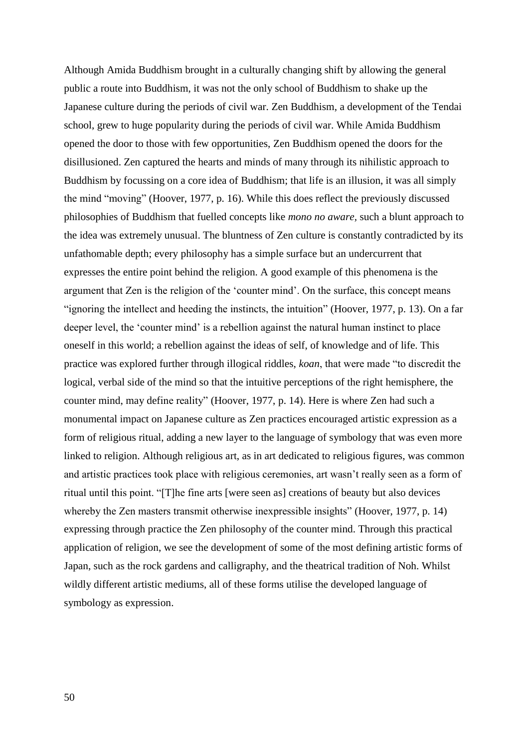Although Amida Buddhism brought in a culturally changing shift by allowing the general public a route into Buddhism, it was not the only school of Buddhism to shake up the Japanese culture during the periods of civil war. Zen Buddhism, a development of the Tendai school, grew to huge popularity during the periods of civil war. While Amida Buddhism opened the door to those with few opportunities, Zen Buddhism opened the doors for the disillusioned. Zen captured the hearts and minds of many through its nihilistic approach to Buddhism by focussing on a core idea of Buddhism; that life is an illusion, it was all simply the mind "moving" (Hoover, 1977, p. 16). While this does reflect the previously discussed philosophies of Buddhism that fuelled concepts like *mono no aware,* such a blunt approach to the idea was extremely unusual. The bluntness of Zen culture is constantly contradicted by its unfathomable depth; every philosophy has a simple surface but an undercurrent that expresses the entire point behind the religion. A good example of this phenomena is the argument that Zen is the religion of the 'counter mind'. On the surface, this concept means "ignoring the intellect and heeding the instincts, the intuition" (Hoover, 1977, p. 13). On a far deeper level, the 'counter mind' is a rebellion against the natural human instinct to place oneself in this world; a rebellion against the ideas of self, of knowledge and of life. This practice was explored further through illogical riddles, *koan*, that were made "to discredit the logical, verbal side of the mind so that the intuitive perceptions of the right hemisphere, the counter mind, may define reality" (Hoover, 1977, p. 14). Here is where Zen had such a monumental impact on Japanese culture as Zen practices encouraged artistic expression as a form of religious ritual, adding a new layer to the language of symbology that was even more linked to religion. Although religious art, as in art dedicated to religious figures, was common and artistic practices took place with religious ceremonies, art wasn't really seen as a form of ritual until this point. "[T]he fine arts [were seen as] creations of beauty but also devices whereby the Zen masters transmit otherwise inexpressible insights" (Hoover, 1977, p. 14) expressing through practice the Zen philosophy of the counter mind. Through this practical application of religion, we see the development of some of the most defining artistic forms of Japan, such as the rock gardens and calligraphy, and the theatrical tradition of Noh. Whilst wildly different artistic mediums, all of these forms utilise the developed language of symbology as expression.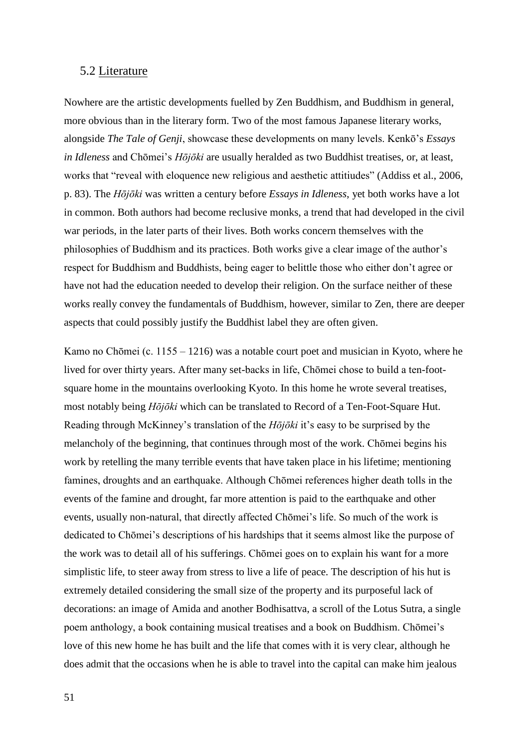#### <span id="page-51-0"></span>5.2 Literature

Nowhere are the artistic developments fuelled by Zen Buddhism, and Buddhism in general, more obvious than in the literary form. Two of the most famous Japanese literary works, alongside *The Tale of Genji*, showcase these developments on many levels. Kenkō's *Essays in Idleness* and Chōmei's *Hōjōki* are usually heralded as two Buddhist treatises, or, at least, works that "reveal with eloquence new religious and aesthetic attitiudes" (Addiss et al., 2006, p. 83). The *Hōjōki* was written a century before *Essays in Idleness*, yet both works have a lot in common. Both authors had become reclusive monks, a trend that had developed in the civil war periods, in the later parts of their lives. Both works concern themselves with the philosophies of Buddhism and its practices. Both works give a clear image of the author's respect for Buddhism and Buddhists, being eager to belittle those who either don't agree or have not had the education needed to develop their religion. On the surface neither of these works really convey the fundamentals of Buddhism, however, similar to Zen, there are deeper aspects that could possibly justify the Buddhist label they are often given.

Kamo no Chōmei (c. 1155 – 1216) was a notable court poet and musician in Kyoto, where he lived for over thirty years. After many set-backs in life, Chōmei chose to build a ten-footsquare home in the mountains overlooking Kyoto. In this home he wrote several treatises, most notably being *Hōjōki* which can be translated to Record of a Ten-Foot-Square Hut. Reading through McKinney's translation of the *Hōjōki* it's easy to be surprised by the melancholy of the beginning, that continues through most of the work. Chōmei begins his work by retelling the many terrible events that have taken place in his lifetime; mentioning famines, droughts and an earthquake. Although Chōmei references higher death tolls in the events of the famine and drought, far more attention is paid to the earthquake and other events, usually non-natural, that directly affected Chōmei's life. So much of the work is dedicated to Chōmei's descriptions of his hardships that it seems almost like the purpose of the work was to detail all of his sufferings. Chōmei goes on to explain his want for a more simplistic life, to steer away from stress to live a life of peace. The description of his hut is extremely detailed considering the small size of the property and its purposeful lack of decorations: an image of Amida and another Bodhisattva, a scroll of the Lotus Sutra, a single poem anthology, a book containing musical treatises and a book on Buddhism. Chōmei's love of this new home he has built and the life that comes with it is very clear, although he does admit that the occasions when he is able to travel into the capital can make him jealous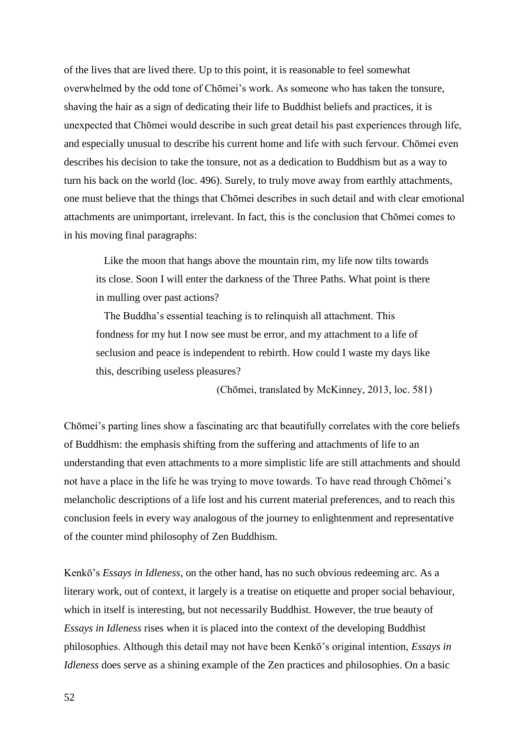of the lives that are lived there. Up to this point, it is reasonable to feel somewhat overwhelmed by the odd tone of Chōmei's work. As someone who has taken the tonsure, shaving the hair as a sign of dedicating their life to Buddhist beliefs and practices, it is unexpected that Chōmei would describe in such great detail his past experiences through life, and especially unusual to describe his current home and life with such fervour. Chōmei even describes his decision to take the tonsure, not as a dedication to Buddhism but as a way to turn his back on the world (loc. 496). Surely, to truly move away from earthly attachments, one must believe that the things that Chōmei describes in such detail and with clear emotional attachments are unimportant, irrelevant. In fact, this is the conclusion that Chōmei comes to in his moving final paragraphs:

 Like the moon that hangs above the mountain rim, my life now tilts towards its close. Soon I will enter the darkness of the Three Paths. What point is there in mulling over past actions?

 The Buddha's essential teaching is to relinquish all attachment. This fondness for my hut I now see must be error, and my attachment to a life of seclusion and peace is independent to rebirth. How could I waste my days like this, describing useless pleasures?

(Chōmei, translated by McKinney, 2013, loc. 581)

Chōmei's parting lines show a fascinating arc that beautifully correlates with the core beliefs of Buddhism: the emphasis shifting from the suffering and attachments of life to an understanding that even attachments to a more simplistic life are still attachments and should not have a place in the life he was trying to move towards. To have read through Chōmei's melancholic descriptions of a life lost and his current material preferences, and to reach this conclusion feels in every way analogous of the journey to enlightenment and representative of the counter mind philosophy of Zen Buddhism.

Kenkō's *Essays in Idleness*, on the other hand, has no such obvious redeeming arc. As a literary work, out of context, it largely is a treatise on etiquette and proper social behaviour, which in itself is interesting, but not necessarily Buddhist. However, the true beauty of *Essays in Idleness* rises when it is placed into the context of the developing Buddhist philosophies. Although this detail may not have been Kenkō's original intention, *Essays in Idleness* does serve as a shining example of the Zen practices and philosophies. On a basic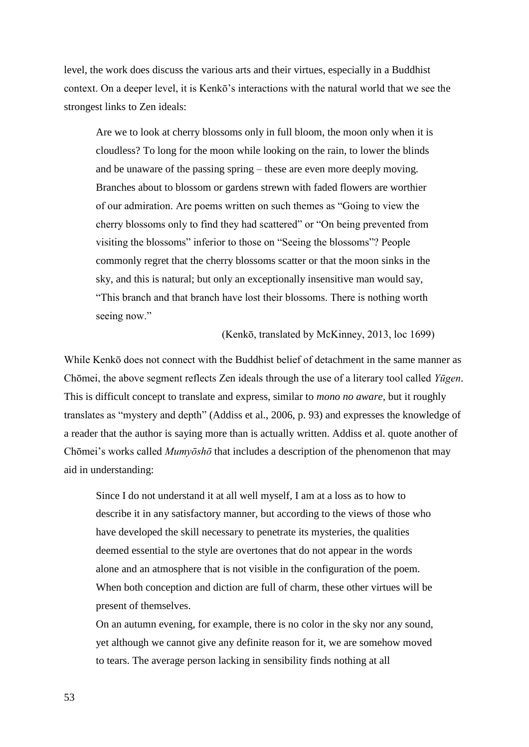level, the work does discuss the various arts and their virtues, especially in a Buddhist context. On a deeper level, it is Kenkō's interactions with the natural world that we see the strongest links to Zen ideals:

Are we to look at cherry blossoms only in full bloom, the moon only when it is cloudless? To long for the moon while looking on the rain, to lower the blinds and be unaware of the passing spring – these are even more deeply moving. Branches about to blossom or gardens strewn with faded flowers are worthier of our admiration. Are poems written on such themes as "Going to view the cherry blossoms only to find they had scattered" or "On being prevented from visiting the blossoms" inferior to those on "Seeing the blossoms"? People commonly regret that the cherry blossoms scatter or that the moon sinks in the sky, and this is natural; but only an exceptionally insensitive man would say, "This branch and that branch have lost their blossoms. There is nothing worth seeing now."

#### (Kenkō, translated by McKinney, 2013, loc 1699)

While Kenkō does not connect with the Buddhist belief of detachment in the same manner as Chōmei, the above segment reflects Zen ideals through the use of a literary tool called *Yūgen*. This is difficult concept to translate and express, similar to *mono no aware,* but it roughly translates as "mystery and depth" (Addiss et al., 2006, p. 93) and expresses the knowledge of a reader that the author is saying more than is actually written. Addiss et al. quote another of Chōmei's works called *Mumyōshō* that includes a description of the phenomenon that may aid in understanding:

Since I do not understand it at all well myself, I am at a loss as to how to describe it in any satisfactory manner, but according to the views of those who have developed the skill necessary to penetrate its mysteries, the qualities deemed essential to the style are overtones that do not appear in the words alone and an atmosphere that is not visible in the configuration of the poem. When both conception and diction are full of charm, these other virtues will be present of themselves.

On an autumn evening, for example, there is no color in the sky nor any sound, yet although we cannot give any definite reason for it, we are somehow moved to tears. The average person lacking in sensibility finds nothing at all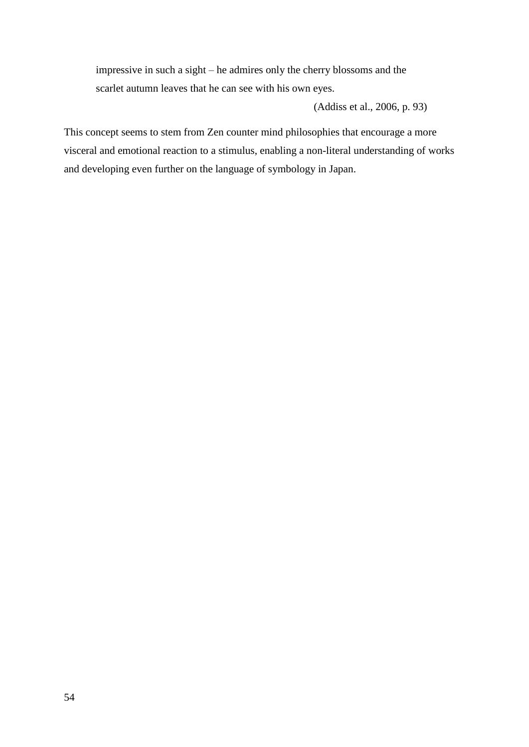impressive in such a sight – he admires only the cherry blossoms and the scarlet autumn leaves that he can see with his own eyes.

(Addiss et al., 2006, p. 93)

This concept seems to stem from Zen counter mind philosophies that encourage a more visceral and emotional reaction to a stimulus, enabling a non-literal understanding of works and developing even further on the language of symbology in Japan.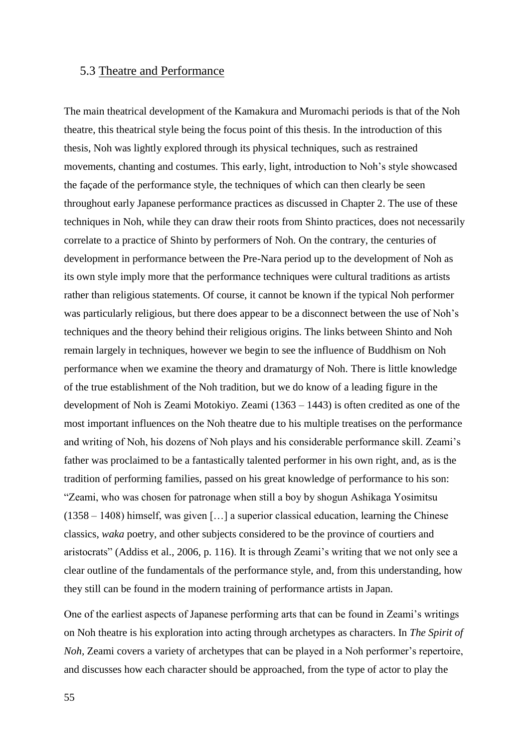#### <span id="page-55-0"></span>5.3 Theatre and Performance

The main theatrical development of the Kamakura and Muromachi periods is that of the Noh theatre, this theatrical style being the focus point of this thesis. In the introduction of this thesis, Noh was lightly explored through its physical techniques, such as restrained movements, chanting and costumes. This early, light, introduction to Noh's style showcased the façade of the performance style, the techniques of which can then clearly be seen throughout early Japanese performance practices as discussed in Chapter 2. The use of these techniques in Noh, while they can draw their roots from Shinto practices, does not necessarily correlate to a practice of Shinto by performers of Noh. On the contrary, the centuries of development in performance between the Pre-Nara period up to the development of Noh as its own style imply more that the performance techniques were cultural traditions as artists rather than religious statements. Of course, it cannot be known if the typical Noh performer was particularly religious, but there does appear to be a disconnect between the use of Noh's techniques and the theory behind their religious origins. The links between Shinto and Noh remain largely in techniques, however we begin to see the influence of Buddhism on Noh performance when we examine the theory and dramaturgy of Noh. There is little knowledge of the true establishment of the Noh tradition, but we do know of a leading figure in the development of Noh is Zeami Motokiyo. Zeami (1363 – 1443) is often credited as one of the most important influences on the Noh theatre due to his multiple treatises on the performance and writing of Noh, his dozens of Noh plays and his considerable performance skill. Zeami's father was proclaimed to be a fantastically talented performer in his own right, and, as is the tradition of performing families, passed on his great knowledge of performance to his son: "Zeami, who was chosen for patronage when still a boy by shogun Ashikaga Yosimitsu (1358 – 1408) himself, was given […] a superior classical education, learning the Chinese classics, *waka* poetry, and other subjects considered to be the province of courtiers and aristocrats" (Addiss et al., 2006, p. 116). It is through Zeami's writing that we not only see a clear outline of the fundamentals of the performance style, and, from this understanding, how they still can be found in the modern training of performance artists in Japan.

One of the earliest aspects of Japanese performing arts that can be found in Zeami's writings on Noh theatre is his exploration into acting through archetypes as characters. In *The Spirit of Noh,* Zeami covers a variety of archetypes that can be played in a Noh performer's repertoire, and discusses how each character should be approached, from the type of actor to play the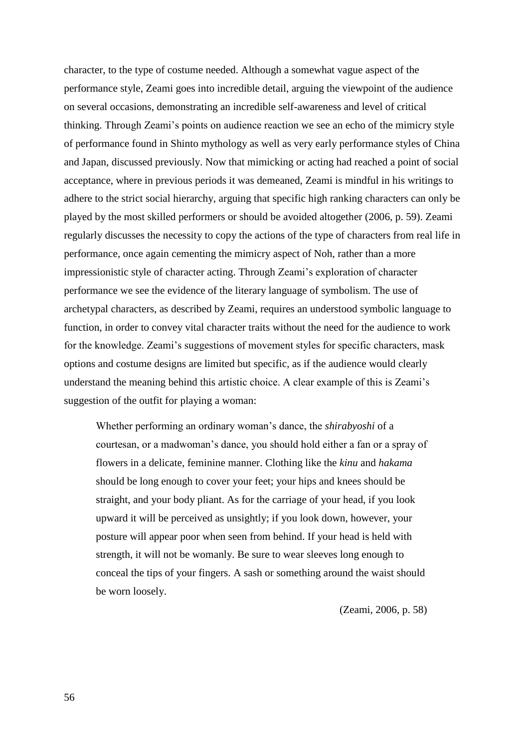character, to the type of costume needed. Although a somewhat vague aspect of the performance style, Zeami goes into incredible detail, arguing the viewpoint of the audience on several occasions, demonstrating an incredible self-awareness and level of critical thinking. Through Zeami's points on audience reaction we see an echo of the mimicry style of performance found in Shinto mythology as well as very early performance styles of China and Japan, discussed previously. Now that mimicking or acting had reached a point of social acceptance, where in previous periods it was demeaned, Zeami is mindful in his writings to adhere to the strict social hierarchy, arguing that specific high ranking characters can only be played by the most skilled performers or should be avoided altogether (2006, p. 59). Zeami regularly discusses the necessity to copy the actions of the type of characters from real life in performance, once again cementing the mimicry aspect of Noh, rather than a more impressionistic style of character acting. Through Zeami's exploration of character performance we see the evidence of the literary language of symbolism. The use of archetypal characters, as described by Zeami, requires an understood symbolic language to function, in order to convey vital character traits without the need for the audience to work for the knowledge. Zeami's suggestions of movement styles for specific characters, mask options and costume designs are limited but specific, as if the audience would clearly understand the meaning behind this artistic choice. A clear example of this is Zeami's suggestion of the outfit for playing a woman:

Whether performing an ordinary woman's dance, the *shirabyoshi* of a courtesan, or a madwoman's dance, you should hold either a fan or a spray of flowers in a delicate, feminine manner. Clothing like the *kinu* and *hakama*  should be long enough to cover your feet; your hips and knees should be straight, and your body pliant. As for the carriage of your head, if you look upward it will be perceived as unsightly; if you look down, however, your posture will appear poor when seen from behind. If your head is held with strength, it will not be womanly. Be sure to wear sleeves long enough to conceal the tips of your fingers. A sash or something around the waist should be worn loosely.

(Zeami, 2006, p. 58)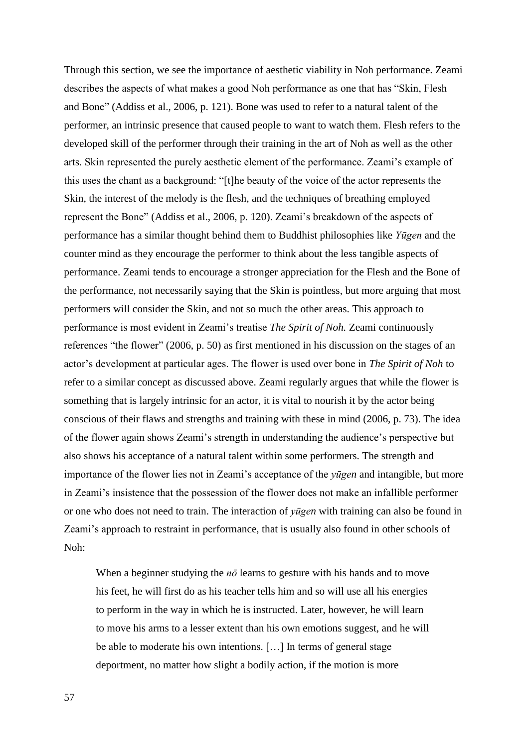Through this section, we see the importance of aesthetic viability in Noh performance. Zeami describes the aspects of what makes a good Noh performance as one that has "Skin, Flesh and Bone" (Addiss et al., 2006, p. 121). Bone was used to refer to a natural talent of the performer, an intrinsic presence that caused people to want to watch them. Flesh refers to the developed skill of the performer through their training in the art of Noh as well as the other arts. Skin represented the purely aesthetic element of the performance. Zeami's example of this uses the chant as a background: "[t]he beauty of the voice of the actor represents the Skin, the interest of the melody is the flesh, and the techniques of breathing employed represent the Bone" (Addiss et al., 2006, p. 120). Zeami's breakdown of the aspects of performance has a similar thought behind them to Buddhist philosophies like *Yūgen* and the counter mind as they encourage the performer to think about the less tangible aspects of performance. Zeami tends to encourage a stronger appreciation for the Flesh and the Bone of the performance, not necessarily saying that the Skin is pointless, but more arguing that most performers will consider the Skin, and not so much the other areas. This approach to performance is most evident in Zeami's treatise *The Spirit of Noh.* Zeami continuously references "the flower" (2006, p. 50) as first mentioned in his discussion on the stages of an actor's development at particular ages. The flower is used over bone in *The Spirit of Noh* to refer to a similar concept as discussed above. Zeami regularly argues that while the flower is something that is largely intrinsic for an actor, it is vital to nourish it by the actor being conscious of their flaws and strengths and training with these in mind (2006, p. 73). The idea of the flower again shows Zeami's strength in understanding the audience's perspective but also shows his acceptance of a natural talent within some performers. The strength and importance of the flower lies not in Zeami's acceptance of the *yūgen* and intangible, but more in Zeami's insistence that the possession of the flower does not make an infallible performer or one who does not need to train. The interaction of *yūgen* with training can also be found in Zeami's approach to restraint in performance, that is usually also found in other schools of Noh:

When a beginner studying the  $n\bar{o}$  learns to gesture with his hands and to move his feet, he will first do as his teacher tells him and so will use all his energies to perform in the way in which he is instructed. Later, however, he will learn to move his arms to a lesser extent than his own emotions suggest, and he will be able to moderate his own intentions. […] In terms of general stage deportment, no matter how slight a bodily action, if the motion is more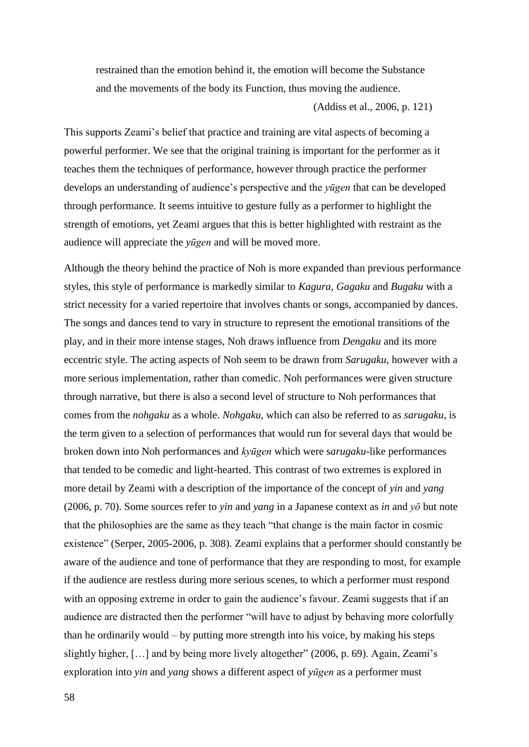restrained than the emotion behind it, the emotion will become the Substance and the movements of the body its Function, thus moving the audience.

(Addiss et al., 2006, p. 121)

This supports Zeami's belief that practice and training are vital aspects of becoming a powerful performer. We see that the original training is important for the performer as it teaches them the techniques of performance, however through practice the performer develops an understanding of audience's perspective and the *yūgen* that can be developed through performance. It seems intuitive to gesture fully as a performer to highlight the strength of emotions, yet Zeami argues that this is better highlighted with restraint as the audience will appreciate the *yūgen* and will be moved more.

Although the theory behind the practice of Noh is more expanded than previous performance styles, this style of performance is markedly similar to *Kagura*, *Gagaku* and *Bugaku* with a strict necessity for a varied repertoire that involves chants or songs, accompanied by dances. The songs and dances tend to vary in structure to represent the emotional transitions of the play, and in their more intense stages, Noh draws influence from *Dengaku* and its more eccentric style. The acting aspects of Noh seem to be drawn from *Sarugaku,* however with a more serious implementation, rather than comedic. Noh performances were given structure through narrative, but there is also a second level of structure to Noh performances that comes from the *nohgaku* as a whole. *Nohgaku*, which can also be referred to as *sarugaku*, is the term given to a selection of performances that would run for several days that would be broken down into Noh performances and *kyūgen* which were s*arugaku-*like performances that tended to be comedic and light-hearted. This contrast of two extremes is explored in more detail by Zeami with a description of the importance of the concept of *yin* and *yang* (2006, p. 70). Some sources refer to *yin* and *yang* in a Japanese context as *in* and *yō* but note that the philosophies are the same as they teach "that change is the main factor in cosmic existence" (Serper, 2005-2006, p. 308). Zeami explains that a performer should constantly be aware of the audience and tone of performance that they are responding to most, for example if the audience are restless during more serious scenes, to which a performer must respond with an opposing extreme in order to gain the audience's favour. Zeami suggests that if an audience are distracted then the performer "will have to adjust by behaving more colorfully than he ordinarily would – by putting more strength into his voice, by making his steps slightly higher, […] and by being more lively altogether" (2006, p. 69). Again, Zeami's exploration into *yin* and *yang* shows a different aspect of *yūgen* as a performer must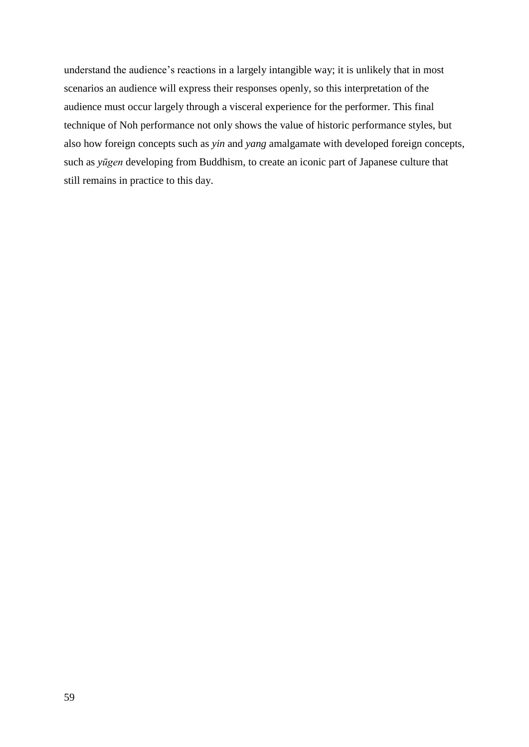understand the audience's reactions in a largely intangible way; it is unlikely that in most scenarios an audience will express their responses openly, so this interpretation of the audience must occur largely through a visceral experience for the performer. This final technique of Noh performance not only shows the value of historic performance styles, but also how foreign concepts such as *yin* and *yang* amalgamate with developed foreign concepts, such as *yūgen* developing from Buddhism, to create an iconic part of Japanese culture that still remains in practice to this day.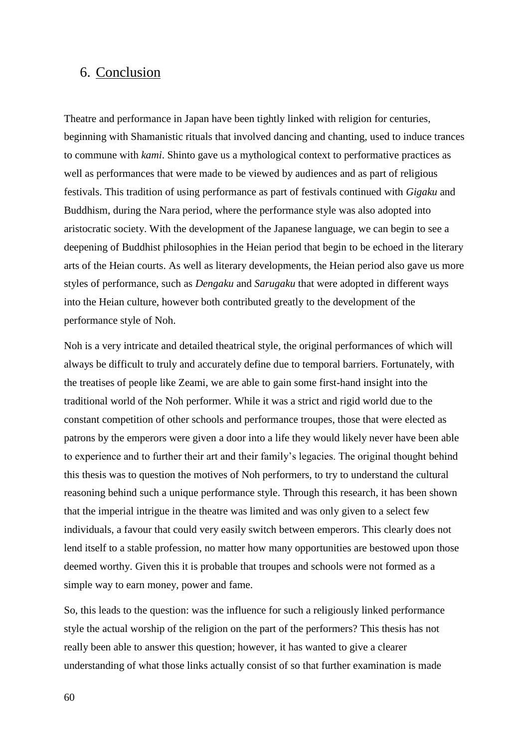## <span id="page-60-0"></span>6. Conclusion

Theatre and performance in Japan have been tightly linked with religion for centuries, beginning with Shamanistic rituals that involved dancing and chanting, used to induce trances to commune with *kami*. Shinto gave us a mythological context to performative practices as well as performances that were made to be viewed by audiences and as part of religious festivals. This tradition of using performance as part of festivals continued with *Gigaku* and Buddhism, during the Nara period, where the performance style was also adopted into aristocratic society. With the development of the Japanese language, we can begin to see a deepening of Buddhist philosophies in the Heian period that begin to be echoed in the literary arts of the Heian courts. As well as literary developments, the Heian period also gave us more styles of performance, such as *Dengaku* and *Sarugaku* that were adopted in different ways into the Heian culture, however both contributed greatly to the development of the performance style of Noh.

Noh is a very intricate and detailed theatrical style, the original performances of which will always be difficult to truly and accurately define due to temporal barriers. Fortunately, with the treatises of people like Zeami, we are able to gain some first-hand insight into the traditional world of the Noh performer. While it was a strict and rigid world due to the constant competition of other schools and performance troupes, those that were elected as patrons by the emperors were given a door into a life they would likely never have been able to experience and to further their art and their family's legacies. The original thought behind this thesis was to question the motives of Noh performers, to try to understand the cultural reasoning behind such a unique performance style. Through this research, it has been shown that the imperial intrigue in the theatre was limited and was only given to a select few individuals, a favour that could very easily switch between emperors. This clearly does not lend itself to a stable profession, no matter how many opportunities are bestowed upon those deemed worthy. Given this it is probable that troupes and schools were not formed as a simple way to earn money, power and fame.

So, this leads to the question: was the influence for such a religiously linked performance style the actual worship of the religion on the part of the performers? This thesis has not really been able to answer this question; however, it has wanted to give a clearer understanding of what those links actually consist of so that further examination is made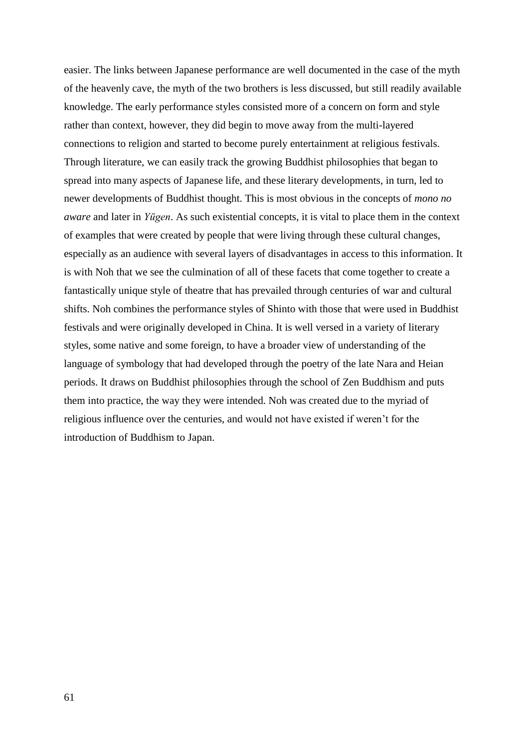easier. The links between Japanese performance are well documented in the case of the myth of the heavenly cave, the myth of the two brothers is less discussed, but still readily available knowledge. The early performance styles consisted more of a concern on form and style rather than context, however, they did begin to move away from the multi-layered connections to religion and started to become purely entertainment at religious festivals. Through literature, we can easily track the growing Buddhist philosophies that began to spread into many aspects of Japanese life, and these literary developments, in turn, led to newer developments of Buddhist thought. This is most obvious in the concepts of *mono no aware* and later in *Yūgen*. As such existential concepts, it is vital to place them in the context of examples that were created by people that were living through these cultural changes, especially as an audience with several layers of disadvantages in access to this information. It is with Noh that we see the culmination of all of these facets that come together to create a fantastically unique style of theatre that has prevailed through centuries of war and cultural shifts. Noh combines the performance styles of Shinto with those that were used in Buddhist festivals and were originally developed in China. It is well versed in a variety of literary styles, some native and some foreign, to have a broader view of understanding of the language of symbology that had developed through the poetry of the late Nara and Heian periods. It draws on Buddhist philosophies through the school of Zen Buddhism and puts them into practice, the way they were intended. Noh was created due to the myriad of religious influence over the centuries, and would not have existed if weren't for the introduction of Buddhism to Japan.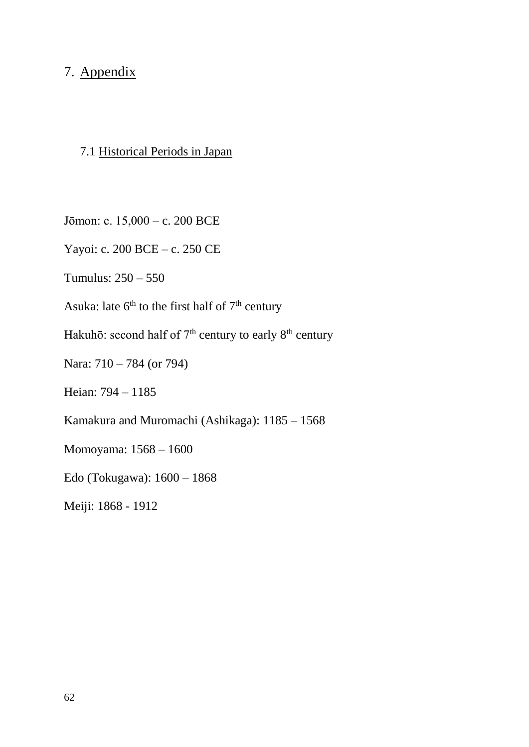## <span id="page-62-0"></span>7. Appendix

## <span id="page-62-1"></span>7.1 Historical Periods in Japan

Jōmon: c. 15,000 – c. 200 BCE

Yayoi: c. 200 BCE – c. 250 CE

Tumulus: 250 – 550

Asuka: late  $6<sup>th</sup>$  to the first half of  $7<sup>th</sup>$  century

Hakuhō: second half of  $7<sup>th</sup>$  century to early  $8<sup>th</sup>$  century

Nara: 710 – 784 (or 794)

Heian: 794 – 1185

Kamakura and Muromachi (Ashikaga): 1185 – 1568

Momoyama: 1568 – 1600

Edo (Tokugawa): 1600 – 1868

Meiji: 1868 - 1912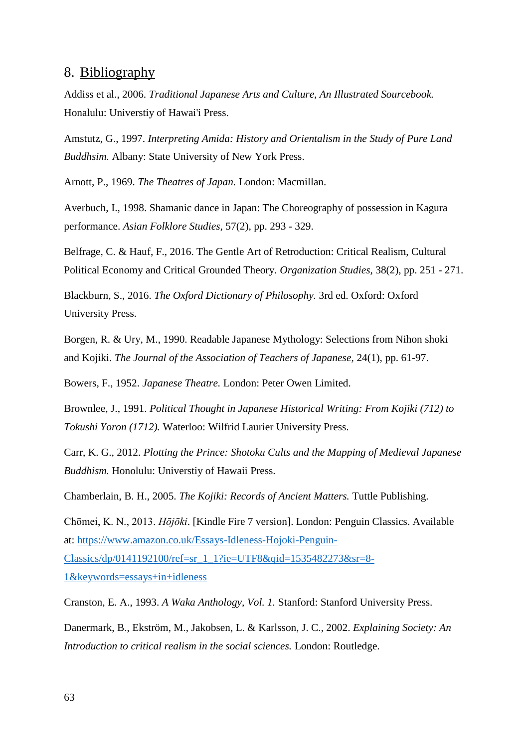## <span id="page-63-0"></span>8. Bibliography

Addiss et al., 2006. *Traditional Japanese Arts and Culture, An Illustrated Sourcebook.*  Honalulu: Universtiy of Hawai'i Press.

Amstutz, G., 1997. *Interpreting Amida: History and Orientalism in the Study of Pure Land Buddhsim.* Albany: State University of New York Press.

Arnott, P., 1969. *The Theatres of Japan.* London: Macmillan.

Averbuch, I., 1998. Shamanic dance in Japan: The Choreography of possession in Kagura performance. *Asian Folklore Studies,* 57(2), pp. 293 - 329.

Belfrage, C. & Hauf, F., 2016. The Gentle Art of Retroduction: Critical Realism, Cultural Political Economy and Critical Grounded Theory. *Organization Studies,* 38(2), pp. 251 - 271.

Blackburn, S., 2016. *The Oxford Dictionary of Philosophy.* 3rd ed. Oxford: Oxford University Press.

Borgen, R. & Ury, M., 1990. Readable Japanese Mythology: Selections from Nihon shoki and Kojiki. *The Journal of the Association of Teachers of Japanese,* 24(1), pp. 61-97.

Bowers, F., 1952. *Japanese Theatre.* London: Peter Owen Limited.

Brownlee, J., 1991. *Political Thought in Japanese Historical Writing: From Kojiki (712) to Tokushi Yoron (1712).* Waterloo: Wilfrid Laurier University Press.

Carr, K. G., 2012. *Plotting the Prince: Shotoku Cults and the Mapping of Medieval Japanese Buddhism.* Honolulu: Universtiy of Hawaii Press.

Chamberlain, B. H., 2005. *The Kojiki: Records of Ancient Matters.* Tuttle Publishing.

Chōmei, K. N., 2013. *Hōjōki*. [Kindle Fire 7 version]. London: Penguin Classics. Available at: [https://www.amazon.co.uk/Essays-Idleness-Hojoki-Penguin-](https://www.amazon.co.uk/Essays-Idleness-Hojoki-Penguin-Classics/dp/0141192100/ref=sr_1_1?ie=UTF8&qid=1535482273&sr=8-1&keywords=essays+in+idleness)

[Classics/dp/0141192100/ref=sr\\_1\\_1?ie=UTF8&qid=1535482273&sr=8-](https://www.amazon.co.uk/Essays-Idleness-Hojoki-Penguin-Classics/dp/0141192100/ref=sr_1_1?ie=UTF8&qid=1535482273&sr=8-1&keywords=essays+in+idleness)

[1&keywords=essays+in+idleness](https://www.amazon.co.uk/Essays-Idleness-Hojoki-Penguin-Classics/dp/0141192100/ref=sr_1_1?ie=UTF8&qid=1535482273&sr=8-1&keywords=essays+in+idleness)

Cranston, E. A., 1993. *A Waka Anthology, Vol. 1.* Stanford: Stanford University Press.

Danermark, B., Ekström, M., Jakobsen, L. & Karlsson, J. C., 2002. *Explaining Society: An Introduction to critical realism in the social sciences.* London: Routledge.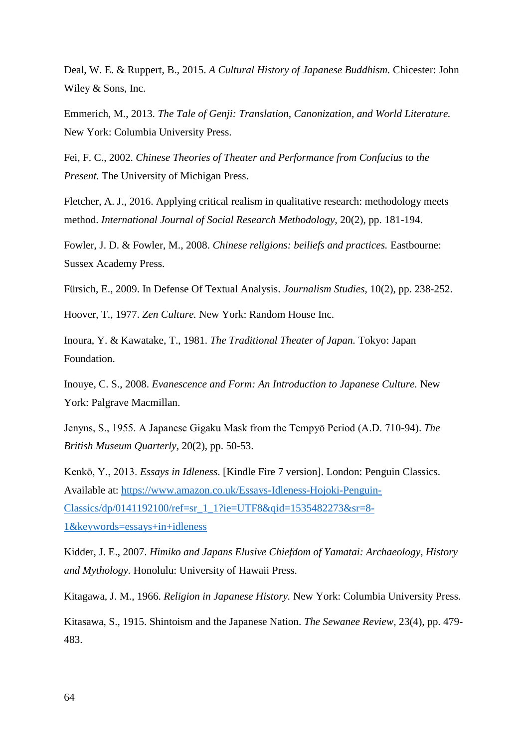Deal, W. E. & Ruppert, B., 2015. *A Cultural History of Japanese Buddhism.* Chicester: John Wiley & Sons, Inc.

Emmerich, M., 2013. *The Tale of Genji: Translation, Canonization, and World Literature.*  New York: Columbia University Press.

Fei, F. C., 2002. *Chinese Theories of Theater and Performance from Confucius to the Present.* The University of Michigan Press.

Fletcher, A. J., 2016. Applying critical realism in qualitative research: methodology meets method. *International Journal of Social Research Methodology,* 20(2), pp. 181-194.

Fowler, J. D. & Fowler, M., 2008. *Chinese religions: beiliefs and practices.* Eastbourne: Sussex Academy Press.

Fürsich, E., 2009. In Defense Of Textual Analysis. *Journalism Studies,* 10(2), pp. 238-252.

Hoover, T., 1977. *Zen Culture.* New York: Random House Inc.

Inoura, Y. & Kawatake, T., 1981. *The Traditional Theater of Japan.* Tokyo: Japan Foundation.

Inouye, C. S., 2008. *Evanescence and Form: An Introduction to Japanese Culture.* New York: Palgrave Macmillan.

Jenyns, S., 1955. A Japanese Gigaku Mask from the Tempyō Period (A.D. 710-94). *The British Museum Quarterly,* 20(2), pp. 50-53.

Kenkō, Y., 2013. *Essays in Idleness*. [Kindle Fire 7 version]. London: Penguin Classics. Available at: [https://www.amazon.co.uk/Essays-Idleness-Hojoki-Penguin-](https://www.amazon.co.uk/Essays-Idleness-Hojoki-Penguin-Classics/dp/0141192100/ref=sr_1_1?ie=UTF8&qid=1535482273&sr=8-1&keywords=essays+in+idleness)[Classics/dp/0141192100/ref=sr\\_1\\_1?ie=UTF8&qid=1535482273&sr=8-](https://www.amazon.co.uk/Essays-Idleness-Hojoki-Penguin-Classics/dp/0141192100/ref=sr_1_1?ie=UTF8&qid=1535482273&sr=8-1&keywords=essays+in+idleness) [1&keywords=essays+in+idleness](https://www.amazon.co.uk/Essays-Idleness-Hojoki-Penguin-Classics/dp/0141192100/ref=sr_1_1?ie=UTF8&qid=1535482273&sr=8-1&keywords=essays+in+idleness)

Kidder, J. E., 2007. *Himiko and Japans Elusive Chiefdom of Yamatai: Archaeology, History and Mythology.* Honolulu: University of Hawaii Press.

Kitagawa, J. M., 1966. *Religion in Japanese History.* New York: Columbia University Press.

Kitasawa, S., 1915. Shintoism and the Japanese Nation. *The Sewanee Review,* 23(4), pp. 479- 483.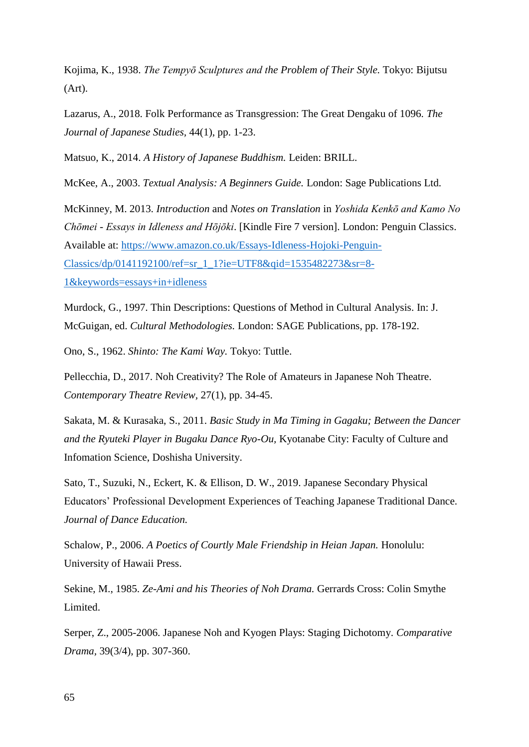Kojima, K., 1938. *The Tempyō Sculptures and the Problem of Their Style.* Tokyo: Bijutsu (Art).

Lazarus, A., 2018. Folk Performance as Transgression: The Great Dengaku of 1096. *The Journal of Japanese Studies,* 44(1), pp. 1-23.

Matsuo, K., 2014. *A History of Japanese Buddhism.* Leiden: BRILL.

McKee, A., 2003. *Textual Analysis: A Beginners Guide.* London: Sage Publications Ltd.

McKinney, M. 2013. *Introduction* and *Notes on Translation* in *Yoshida Kenkō and Kamo No Chōmei - Essays in Idleness and Hōjōki*. [Kindle Fire 7 version]. London: Penguin Classics. Available at: [https://www.amazon.co.uk/Essays-Idleness-Hojoki-Penguin-](https://www.amazon.co.uk/Essays-Idleness-Hojoki-Penguin-Classics/dp/0141192100/ref=sr_1_1?ie=UTF8&qid=1535482273&sr=8-1&keywords=essays+in+idleness)[Classics/dp/0141192100/ref=sr\\_1\\_1?ie=UTF8&qid=1535482273&sr=8-](https://www.amazon.co.uk/Essays-Idleness-Hojoki-Penguin-Classics/dp/0141192100/ref=sr_1_1?ie=UTF8&qid=1535482273&sr=8-1&keywords=essays+in+idleness) [1&keywords=essays+in+idleness](https://www.amazon.co.uk/Essays-Idleness-Hojoki-Penguin-Classics/dp/0141192100/ref=sr_1_1?ie=UTF8&qid=1535482273&sr=8-1&keywords=essays+in+idleness)

Murdock, G., 1997. Thin Descriptions: Questions of Method in Cultural Analysis. In: J. McGuigan, ed. *Cultural Methodologies.* London: SAGE Publications, pp. 178-192.

Ono, S., 1962. *Shinto: The Kami Way.* Tokyo: Tuttle.

Pellecchia, D., 2017. Noh Creativity? The Role of Amateurs in Japanese Noh Theatre. *Contemporary Theatre Review,* 27(1), pp. 34-45.

Sakata, M. & Kurasaka, S., 2011. *Basic Study in Ma Timing in Gagaku; Between the Dancer and the Ryuteki Player in Bugaku Dance Ryo-Ou,* Kyotanabe City: Faculty of Culture and Infomation Science, Doshisha University.

Sato, T., Suzuki, N., Eckert, K. & Ellison, D. W., 2019. Japanese Secondary Physical Educators' Professional Development Experiences of Teaching Japanese Traditional Dance. *Journal of Dance Education.*

Schalow, P., 2006. *A Poetics of Courtly Male Friendship in Heian Japan.* Honolulu: University of Hawaii Press.

Sekine, M., 1985. *Ze-Ami and his Theories of Noh Drama.* Gerrards Cross: Colin Smythe Limited.

Serper, Z., 2005-2006. Japanese Noh and Kyogen Plays: Staging Dichotomy. *Comparative Drama,* 39(3/4), pp. 307-360.